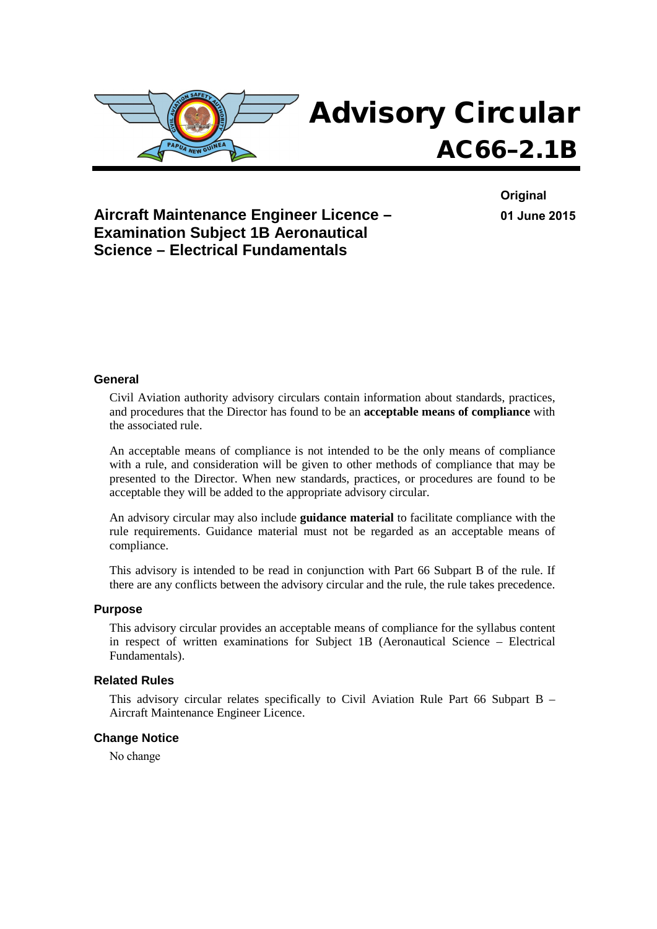

# **Aircraft Maintenance Engineer Licence – Examination Subject 1B Aeronautical Science – Electrical Fundamentals**

**Original 01 June 2015**

### **General**

Civil Aviation authority advisory circulars contain information about standards, practices, and procedures that the Director has found to be an **acceptable means of compliance** with the associated rule.

An acceptable means of compliance is not intended to be the only means of compliance with a rule, and consideration will be given to other methods of compliance that may be presented to the Director. When new standards, practices, or procedures are found to be acceptable they will be added to the appropriate advisory circular.

An advisory circular may also include **guidance material** to facilitate compliance with the rule requirements. Guidance material must not be regarded as an acceptable means of compliance.

This advisory is intended to be read in conjunction with Part 66 Subpart B of the rule. If there are any conflicts between the advisory circular and the rule, the rule takes precedence.

#### **Purpose**

This advisory circular provides an acceptable means of compliance for the syllabus content in respect of written examinations for Subject 1B (Aeronautical Science – Electrical Fundamentals).

#### **Related Rules**

This advisory circular relates specifically to Civil Aviation Rule Part 66 Subpart B – Aircraft Maintenance Engineer Licence.

#### **Change Notice**

No change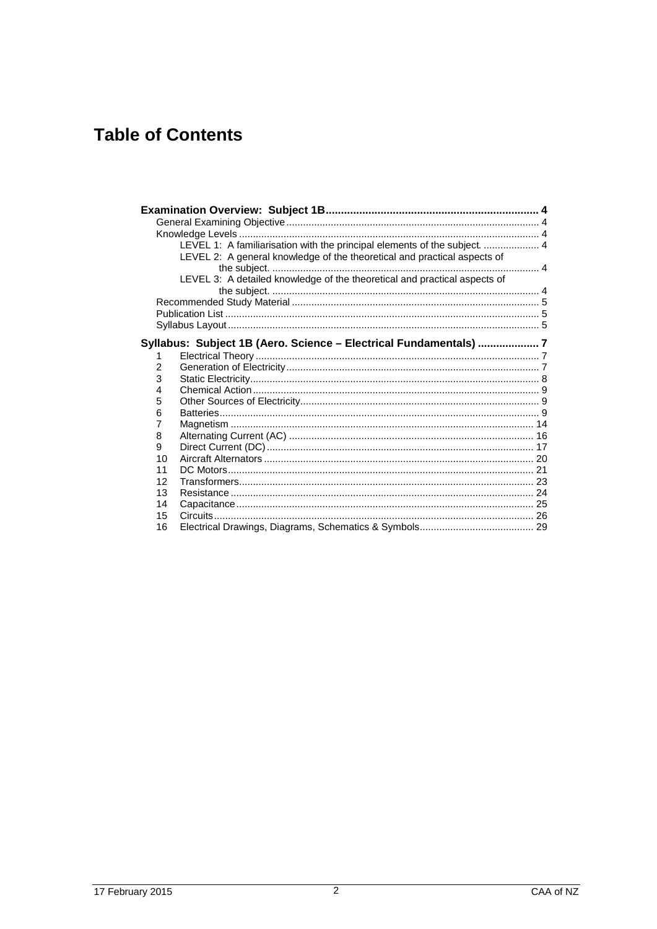# **Table of Contents**

|                | LEVEL 1: A familiarisation with the principal elements of the subject.  4<br>LEVEL 2: A general knowledge of the theoretical and practical aspects of |  |
|----------------|-------------------------------------------------------------------------------------------------------------------------------------------------------|--|
|                | LEVEL 3: A detailed knowledge of the theoretical and practical aspects of                                                                             |  |
|                |                                                                                                                                                       |  |
|                |                                                                                                                                                       |  |
|                |                                                                                                                                                       |  |
|                |                                                                                                                                                       |  |
|                |                                                                                                                                                       |  |
|                | Syllabus: Subject 1B (Aero. Science - Electrical Fundamentals) 7                                                                                      |  |
| 1              |                                                                                                                                                       |  |
| 2              |                                                                                                                                                       |  |
| 3              |                                                                                                                                                       |  |
| 4              |                                                                                                                                                       |  |
| 5              |                                                                                                                                                       |  |
| 6              |                                                                                                                                                       |  |
| $\overline{7}$ |                                                                                                                                                       |  |
| 8              |                                                                                                                                                       |  |
| 9              |                                                                                                                                                       |  |
| 10             |                                                                                                                                                       |  |
| 11             |                                                                                                                                                       |  |
| 12             |                                                                                                                                                       |  |
| 13             |                                                                                                                                                       |  |
| 14             |                                                                                                                                                       |  |
| 15             |                                                                                                                                                       |  |
| 16             |                                                                                                                                                       |  |
|                |                                                                                                                                                       |  |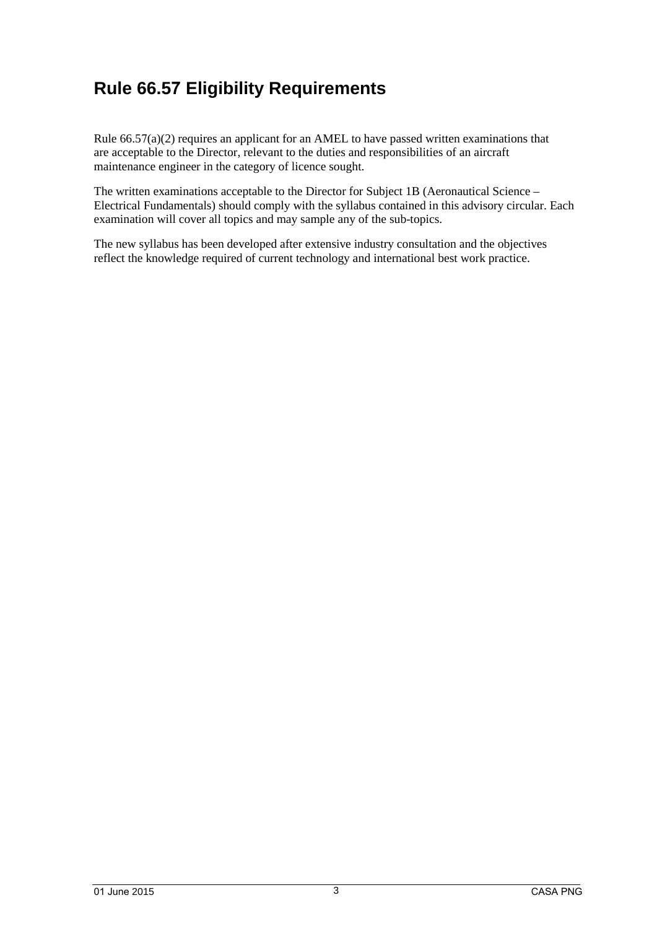# **Rule 66.57 Eligibility Requirements**

Rule  $66.57(a)(2)$  requires an applicant for an AMEL to have passed written examinations that are acceptable to the Director, relevant to the duties and responsibilities of an aircraft maintenance engineer in the category of licence sought.

The written examinations acceptable to the Director for Subject 1B (Aeronautical Science – Electrical Fundamentals) should comply with the syllabus contained in this advisory circular. Each examination will cover all topics and may sample any of the sub-topics.

The new syllabus has been developed after extensive industry consultation and the objectives reflect the knowledge required of current technology and international best work practice.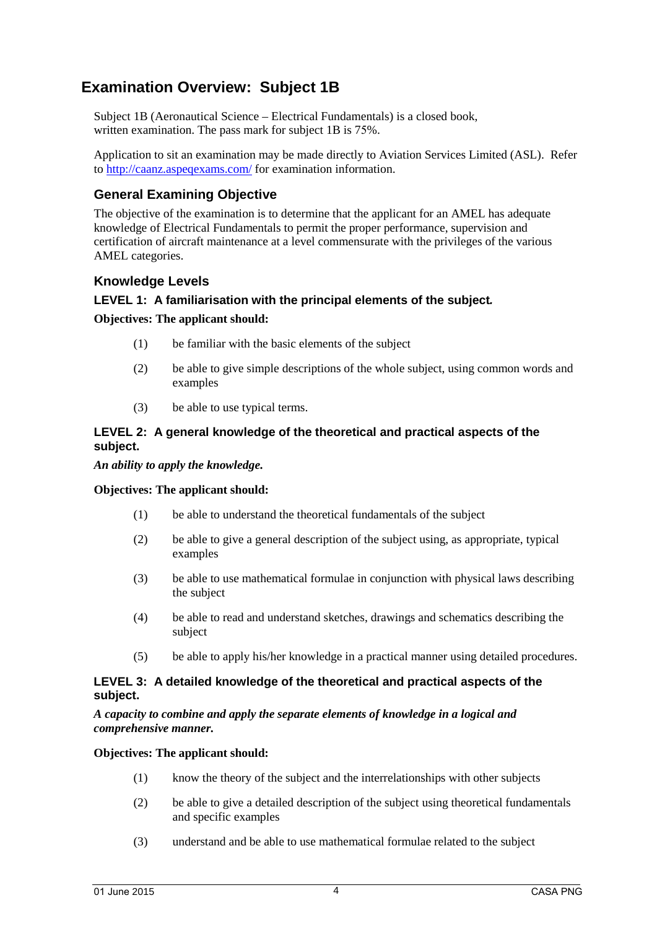# **Examination Overview: Subject 1B**

Subject 1B (Aeronautical Science – Electrical Fundamentals) is a closed book, written examination. The pass mark for subject 1B is 75%.

Application to sit an examination may be made directly to Aviation Services Limited (ASL). Refer to<http://caanz.aspeqexams.com/>for examination information.

## **General Examining Objective**

The objective of the examination is to determine that the applicant for an AMEL has adequate knowledge of Electrical Fundamentals to permit the proper performance, supervision and certification of aircraft maintenance at a level commensurate with the privileges of the various AMEL categories.

# **Knowledge Levels**

## **LEVEL 1: A familiarisation with the principal elements of the subject***.*

### **Objectives: The applicant should:**

- (1) be familiar with the basic elements of the subject
- (2) be able to give simple descriptions of the whole subject, using common words and examples
- (3) be able to use typical terms.

## **LEVEL 2: A general knowledge of the theoretical and practical aspects of the subject.**

*An ability to apply the knowledge.*

### **Objectives: The applicant should:**

- (1) be able to understand the theoretical fundamentals of the subject
- (2) be able to give a general description of the subject using, as appropriate, typical examples
- (3) be able to use mathematical formulae in conjunction with physical laws describing the subject
- (4) be able to read and understand sketches, drawings and schematics describing the subject
- (5) be able to apply his/her knowledge in a practical manner using detailed procedures.

### **LEVEL 3: A detailed knowledge of the theoretical and practical aspects of the subject.**

*A capacity to combine and apply the separate elements of knowledge in a logical and comprehensive manner.*

### **Objectives: The applicant should:**

- (1) know the theory of the subject and the interrelationships with other subjects
- (2) be able to give a detailed description of the subject using theoretical fundamentals and specific examples
- (3) understand and be able to use mathematical formulae related to the subject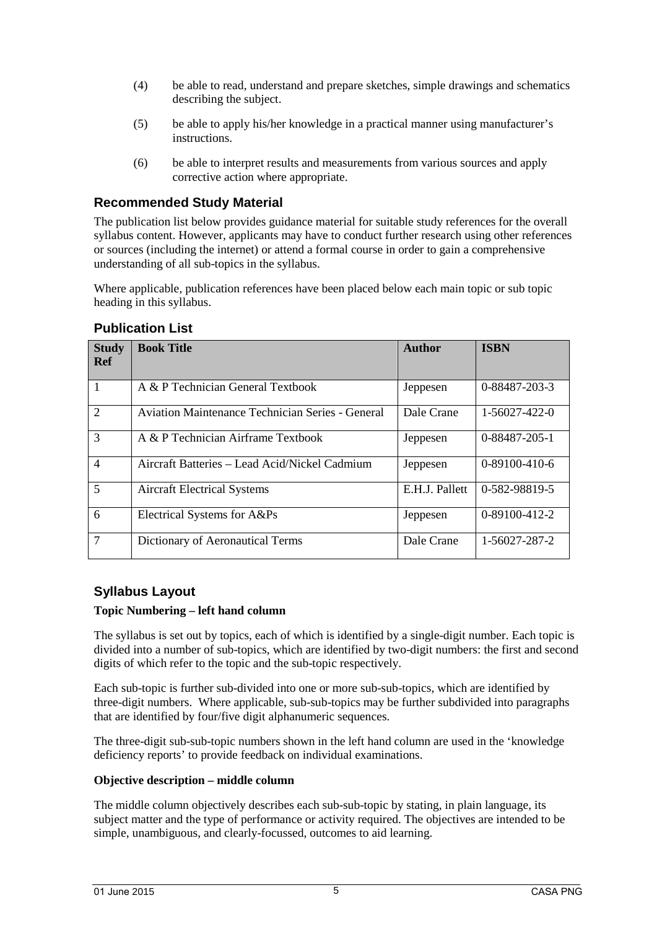- (4) be able to read, understand and prepare sketches, simple drawings and schematics describing the subject.
- (5) be able to apply his/her knowledge in a practical manner using manufacturer's instructions.
- (6) be able to interpret results and measurements from various sources and apply corrective action where appropriate.

# **Recommended Study Material**

The publication list below provides guidance material for suitable study references for the overall syllabus content. However, applicants may have to conduct further research using other references or sources (including the internet) or attend a formal course in order to gain a comprehensive understanding of all sub-topics in the syllabus.

Where applicable, publication references have been placed below each main topic or sub topic heading in this syllabus.

| <b>Study</b><br><b>Ref</b> | <b>Book Title</b>                                       | <b>Author</b>  | <b>ISBN</b>   |
|----------------------------|---------------------------------------------------------|----------------|---------------|
| $\overline{1}$             | A & P Technician General Textbook                       | Jeppesen       | 0-88487-203-3 |
| 2                          | <b>Aviation Maintenance Technician Series - General</b> | Dale Crane     | 1-56027-422-0 |
| 3                          | A & P Technician Airframe Textbook                      | Jeppesen       | 0-88487-205-1 |
| $\overline{4}$             | Aircraft Batteries - Lead Acid/Nickel Cadmium           | Jeppesen       | 0-89100-410-6 |
| 5                          | <b>Aircraft Electrical Systems</b>                      | E.H.J. Pallett | 0-582-98819-5 |
| 6                          | Electrical Systems for A&Ps                             | Jeppesen       | 0-89100-412-2 |
| $\overline{7}$             | Dictionary of Aeronautical Terms                        | Dale Crane     | 1-56027-287-2 |

## **Publication List**

# **Syllabus Layout**

### **Topic Numbering – left hand column**

The syllabus is set out by topics, each of which is identified by a single-digit number. Each topic is divided into a number of sub-topics, which are identified by two-digit numbers: the first and second digits of which refer to the topic and the sub-topic respectively.

Each sub-topic is further sub-divided into one or more sub-sub-topics, which are identified by three-digit numbers. Where applicable, sub-sub-topics may be further subdivided into paragraphs that are identified by four/five digit alphanumeric sequences.

The three-digit sub-sub-topic numbers shown in the left hand column are used in the 'knowledge deficiency reports' to provide feedback on individual examinations.

### **Objective description – middle column**

The middle column objectively describes each sub-sub-topic by stating, in plain language, its subject matter and the type of performance or activity required. The objectives are intended to be simple, unambiguous, and clearly-focussed, outcomes to aid learning.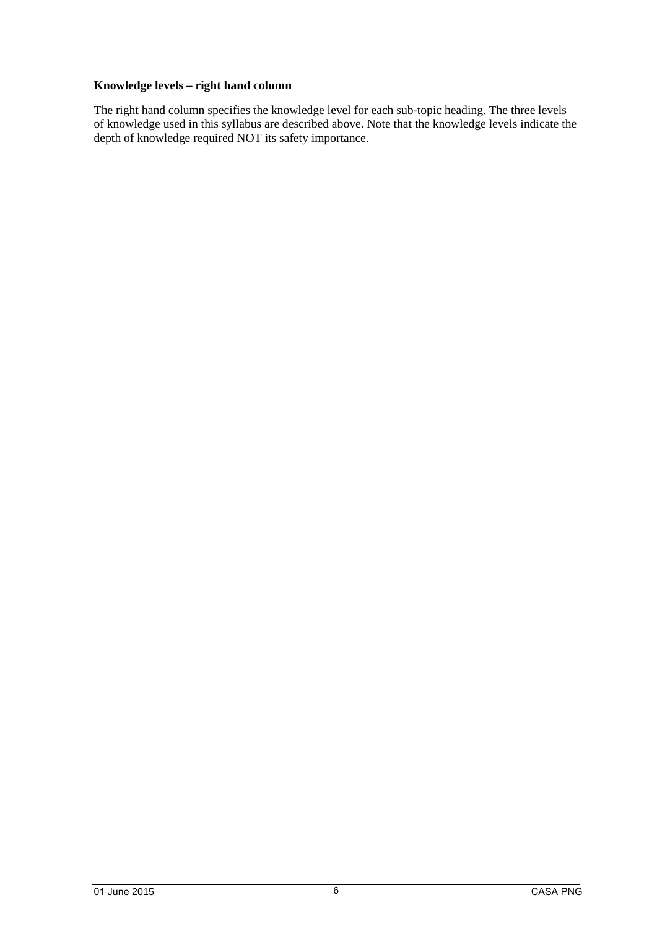### **Knowledge levels – right hand column**

The right hand column specifies the knowledge level for each sub-topic heading. The three levels of knowledge used in this syllabus are described above. Note that the knowledge levels indicate the depth of knowledge required NOT its safety importance.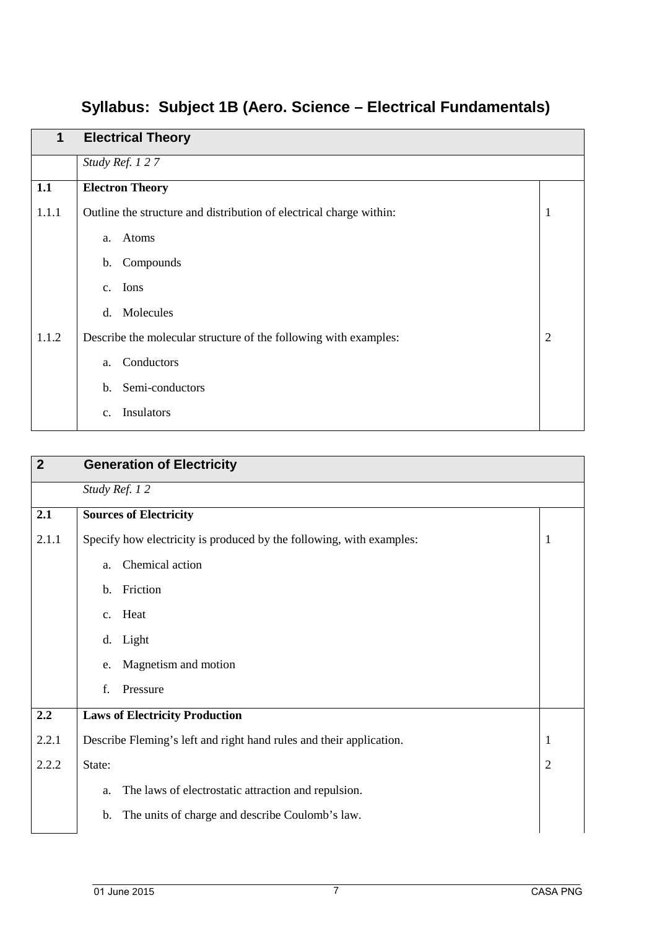| $\mathbf{1}$ | <b>Electrical Theory</b>                                            |                |
|--------------|---------------------------------------------------------------------|----------------|
|              | Study Ref. 127                                                      |                |
| 1.1          | <b>Electron Theory</b>                                              |                |
| 1.1.1        | Outline the structure and distribution of electrical charge within: | $\mathbf{1}$   |
|              | Atoms<br>a.                                                         |                |
|              | Compounds<br>$\mathbf b$ .                                          |                |
|              | Ions<br>C <sub>1</sub>                                              |                |
|              | Molecules<br>d.                                                     |                |
| 1.1.2        | Describe the molecular structure of the following with examples:    | $\overline{2}$ |
|              | Conductors<br>a.                                                    |                |
|              | Semi-conductors<br>$\mathbf{b}$ .                                   |                |
|              | Insulators<br>C <sub>1</sub>                                        |                |

# **Syllabus: Subject 1B (Aero. Science – Electrical Fundamentals)**

| $\boldsymbol{2}$ | <b>Generation of Electricity</b>                                     |                |
|------------------|----------------------------------------------------------------------|----------------|
|                  | Study Ref. 12                                                        |                |
| 2.1              | <b>Sources of Electricity</b>                                        |                |
| 2.1.1            | Specify how electricity is produced by the following, with examples: | 1              |
|                  | Chemical action<br>a.                                                |                |
|                  | Friction<br>$b_{\cdot}$                                              |                |
|                  | Heat<br>C <sub>1</sub>                                               |                |
|                  | Light<br>$d_{\cdot}$                                                 |                |
|                  | Magnetism and motion<br>e.                                           |                |
|                  | Pressure<br>f.                                                       |                |
| 2.2              | <b>Laws of Electricity Production</b>                                |                |
| 2.2.1            | Describe Fleming's left and right hand rules and their application.  | $\mathbf{1}$   |
| 2.2.2            | State:                                                               | $\overline{2}$ |
|                  | The laws of electrostatic attraction and repulsion.<br>a.            |                |
|                  | The units of charge and describe Coulomb's law.<br>b.                |                |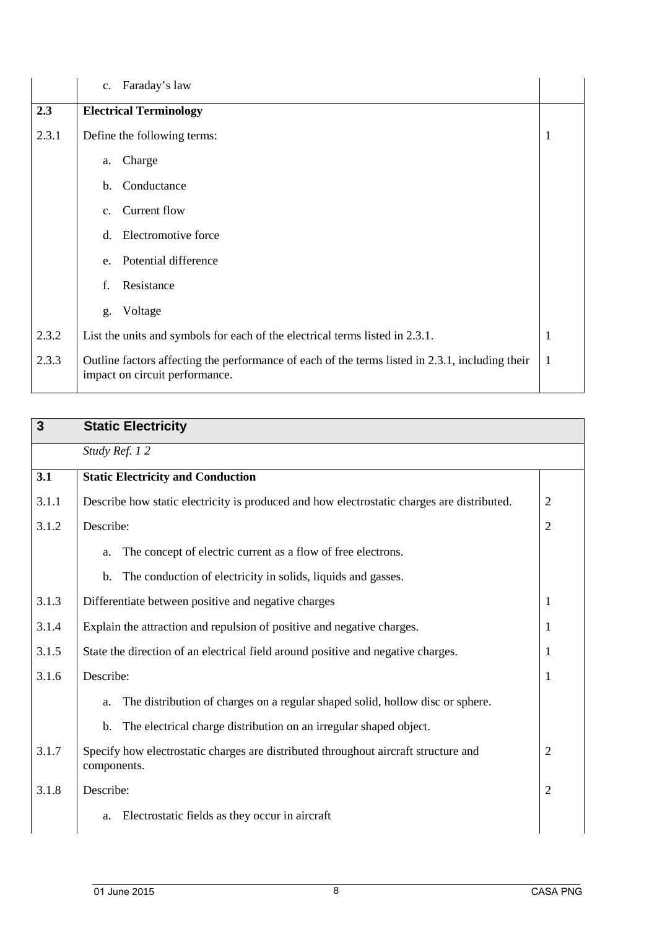|       | Faraday's law<br>c.                                                                                                               |              |
|-------|-----------------------------------------------------------------------------------------------------------------------------------|--------------|
| 2.3   | <b>Electrical Terminology</b>                                                                                                     |              |
| 2.3.1 | Define the following terms:                                                                                                       | $\mathbf{1}$ |
|       | Charge<br>a.                                                                                                                      |              |
|       | Conductance<br>$\mathbf{b}$ .                                                                                                     |              |
|       | Current flow<br>$C_{\bullet}$                                                                                                     |              |
|       | Electromotive force<br>d.                                                                                                         |              |
|       | Potential difference<br>e.                                                                                                        |              |
|       | f.<br>Resistance                                                                                                                  |              |
|       | Voltage<br>g.                                                                                                                     |              |
| 2.3.2 | List the units and symbols for each of the electrical terms listed in 2.3.1.                                                      | $\mathbf 1$  |
| 2.3.3 | Outline factors affecting the performance of each of the terms listed in 2.3.1, including their<br>impact on circuit performance. | $\mathbf{1}$ |

| 3     | <b>Static Electricity</b>                                                                          |                |
|-------|----------------------------------------------------------------------------------------------------|----------------|
|       | Study Ref. 12                                                                                      |                |
| 3.1   | <b>Static Electricity and Conduction</b>                                                           |                |
| 3.1.1 | Describe how static electricity is produced and how electrostatic charges are distributed.         | $\overline{2}$ |
| 3.1.2 | Describe:                                                                                          | $\overline{2}$ |
|       | The concept of electric current as a flow of free electrons.<br>a.                                 |                |
|       | The conduction of electricity in solids, liquids and gasses.<br>b.                                 |                |
| 3.1.3 | Differentiate between positive and negative charges                                                | 1              |
| 3.1.4 | Explain the attraction and repulsion of positive and negative charges.                             | 1              |
| 3.1.5 | State the direction of an electrical field around positive and negative charges.                   | 1              |
| 3.1.6 | Describe:                                                                                          | 1              |
|       | The distribution of charges on a regular shaped solid, hollow disc or sphere.<br>a.                |                |
|       | The electrical charge distribution on an irregular shaped object.<br>b.                            |                |
| 3.1.7 | Specify how electrostatic charges are distributed throughout aircraft structure and<br>components. | $\overline{2}$ |
| 3.1.8 | Describe:                                                                                          | $\overline{2}$ |
|       | Electrostatic fields as they occur in aircraft<br>a.                                               |                |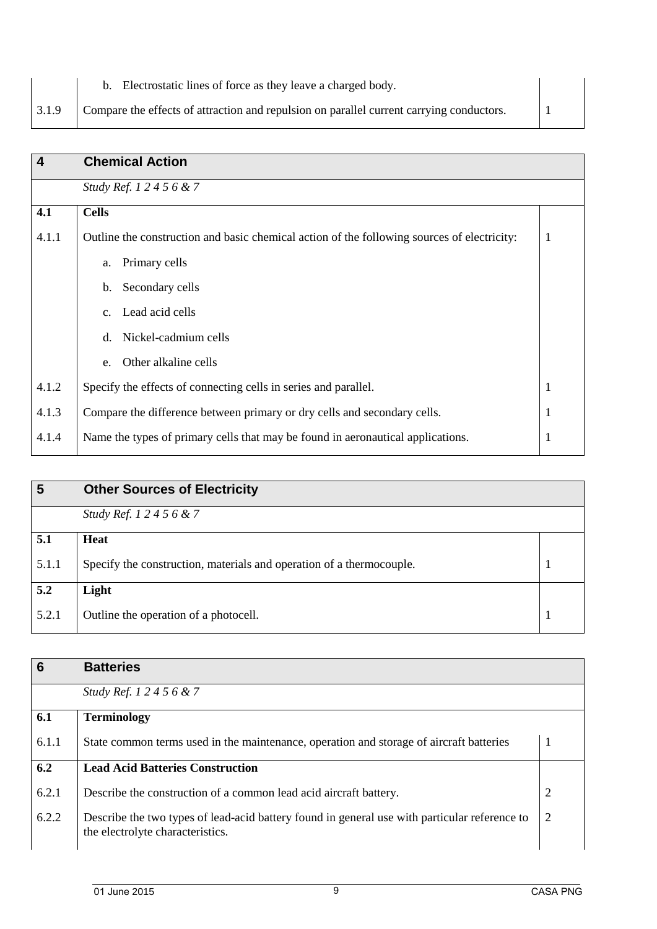|       | b. Electrostatic lines of force as they leave a charged body.                            |  |
|-------|------------------------------------------------------------------------------------------|--|
| 3.1.9 | Compare the effects of attraction and repulsion on parallel current carrying conductors. |  |
|       |                                                                                          |  |

| 4     | <b>Chemical Action</b>                                                                      |              |
|-------|---------------------------------------------------------------------------------------------|--------------|
|       | Study Ref. 12456&7                                                                          |              |
| 4.1   | <b>Cells</b>                                                                                |              |
| 4.1.1 | Outline the construction and basic chemical action of the following sources of electricity: | 1            |
|       | Primary cells<br>a.                                                                         |              |
|       | Secondary cells<br>b.                                                                       |              |
|       | Lead acid cells<br>$c_{\cdot}$                                                              |              |
|       | Nickel-cadmium cells<br>$d_{\cdot}$                                                         |              |
|       | Other alkaline cells<br>e.                                                                  |              |
| 4.1.2 | Specify the effects of connecting cells in series and parallel.                             | 1            |
| 4.1.3 | Compare the difference between primary or dry cells and secondary cells.                    | $\mathbf{1}$ |
| 4.1.4 | Name the types of primary cells that may be found in aeronautical applications.             | $\mathbf{1}$ |
|       |                                                                                             |              |

| 5     | <b>Other Sources of Electricity</b>                                  |  |
|-------|----------------------------------------------------------------------|--|
|       | Study Ref. 1 2 4 5 6 & 7                                             |  |
| 5.1   | Heat                                                                 |  |
| 5.1.1 | Specify the construction, materials and operation of a thermocouple. |  |
| 5.2   | Light                                                                |  |
| 5.2.1 | Outline the operation of a photocell.                                |  |

| 6     | <b>Batteries</b>                                                                                                                  |    |
|-------|-----------------------------------------------------------------------------------------------------------------------------------|----|
|       | Study Ref. 1 2 4 5 6 & 7                                                                                                          |    |
| 6.1   | <b>Terminology</b>                                                                                                                |    |
| 6.1.1 | State common terms used in the maintenance, operation and storage of aircraft batteries                                           | -1 |
| 6.2   | <b>Lead Acid Batteries Construction</b>                                                                                           |    |
| 6.2.1 | Describe the construction of a common lead acid aircraft battery.                                                                 | 2  |
| 6.2.2 | Describe the two types of lead-acid battery found in general use with particular reference to<br>the electrolyte characteristics. | 2  |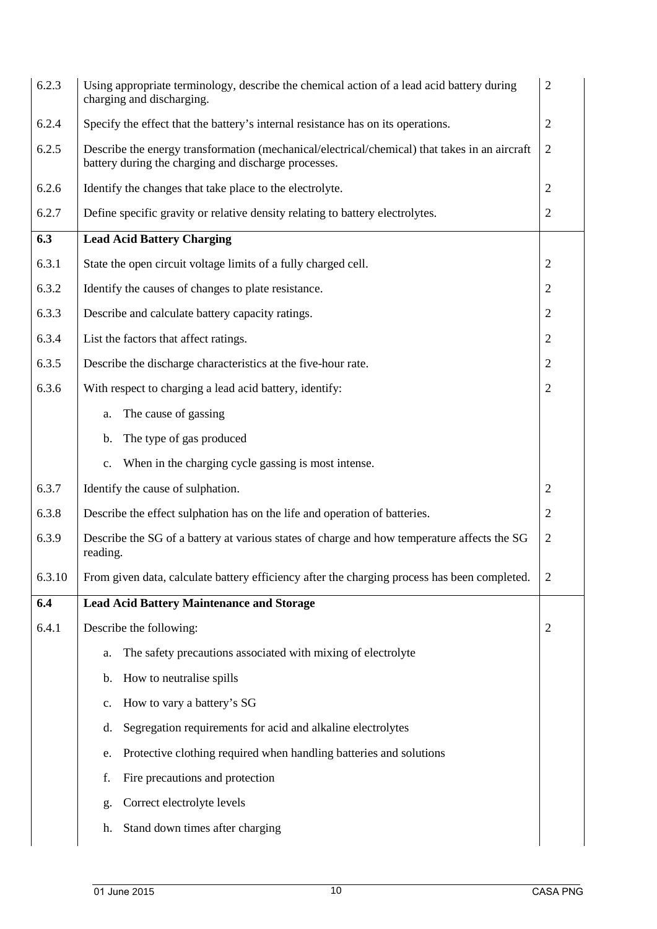| 6.2.3  | Using appropriate terminology, describe the chemical action of a lead acid battery during<br>charging and discharging.                                | $\mathbf{2}$   |
|--------|-------------------------------------------------------------------------------------------------------------------------------------------------------|----------------|
| 6.2.4  | Specify the effect that the battery's internal resistance has on its operations.                                                                      | $\overline{2}$ |
| 6.2.5  | Describe the energy transformation (mechanical/electrical/chemical) that takes in an aircraft<br>battery during the charging and discharge processes. | $\overline{2}$ |
| 6.2.6  | Identify the changes that take place to the electrolyte.                                                                                              | $\overline{2}$ |
| 6.2.7  | Define specific gravity or relative density relating to battery electrolytes.                                                                         | $\overline{2}$ |
| 6.3    | <b>Lead Acid Battery Charging</b>                                                                                                                     |                |
| 6.3.1  | State the open circuit voltage limits of a fully charged cell.                                                                                        | $\overline{2}$ |
| 6.3.2  | Identify the causes of changes to plate resistance.                                                                                                   | $\overline{2}$ |
| 6.3.3  | Describe and calculate battery capacity ratings.                                                                                                      | $\overline{2}$ |
| 6.3.4  | List the factors that affect ratings.                                                                                                                 | $\overline{2}$ |
| 6.3.5  | Describe the discharge characteristics at the five-hour rate.                                                                                         | $\overline{2}$ |
| 6.3.6  | With respect to charging a lead acid battery, identify:                                                                                               | $\overline{2}$ |
|        | The cause of gassing<br>a.                                                                                                                            |                |
|        | The type of gas produced<br>b.                                                                                                                        |                |
|        | When in the charging cycle gassing is most intense.<br>$\mathbf{c}$ .                                                                                 |                |
| 6.3.7  | Identify the cause of sulphation.                                                                                                                     | $\overline{2}$ |
| 6.3.8  | Describe the effect sulphation has on the life and operation of batteries.                                                                            | $\overline{2}$ |
| 6.3.9  | Describe the SG of a battery at various states of charge and how temperature affects the SG<br>reading.                                               | $\mathfrak{2}$ |
| 6.3.10 | From given data, calculate battery efficiency after the charging process has been completed.                                                          | $\overline{2}$ |
| 6.4    | <b>Lead Acid Battery Maintenance and Storage</b>                                                                                                      |                |
| 6.4.1  | Describe the following:                                                                                                                               | $\overline{2}$ |
|        | The safety precautions associated with mixing of electrolyte<br>a.                                                                                    |                |
|        | How to neutralise spills<br>$\mathbf{b}$ .                                                                                                            |                |
|        | How to vary a battery's SG<br>c.                                                                                                                      |                |
|        | Segregation requirements for acid and alkaline electrolytes<br>d.                                                                                     |                |
|        | Protective clothing required when handling batteries and solutions<br>e.                                                                              |                |
|        | Fire precautions and protection<br>f.                                                                                                                 |                |
|        | Correct electrolyte levels<br>g.                                                                                                                      |                |
|        | Stand down times after charging<br>h.                                                                                                                 |                |
|        |                                                                                                                                                       |                |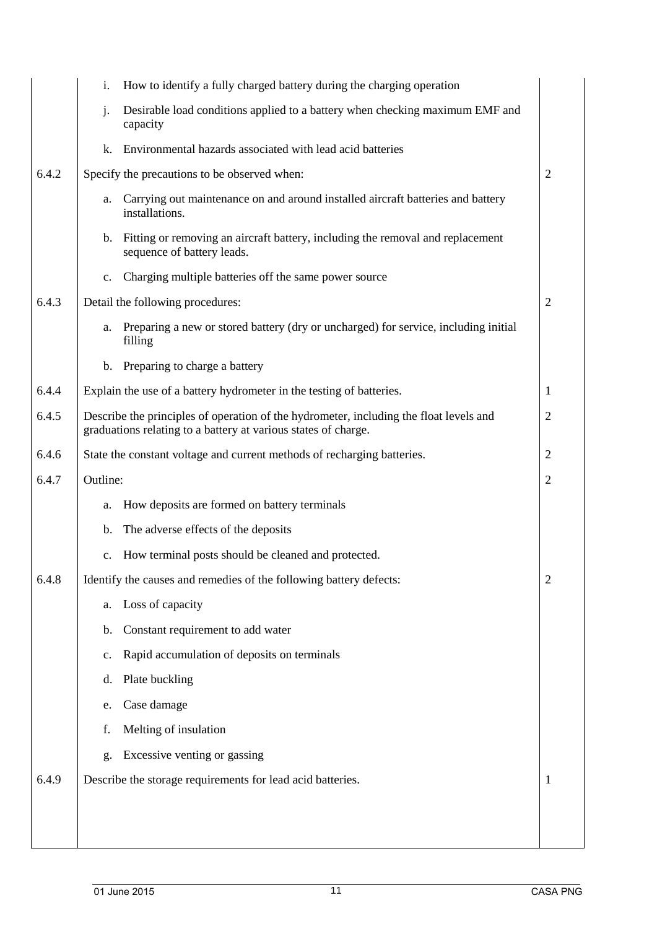|       | How to identify a fully charged battery during the charging operation<br>i.                                                                              |                |
|-------|----------------------------------------------------------------------------------------------------------------------------------------------------------|----------------|
|       | Desirable load conditions applied to a battery when checking maximum EMF and<br>j.<br>capacity                                                           |                |
|       | Environmental hazards associated with lead acid batteries<br>k.                                                                                          |                |
| 6.4.2 | Specify the precautions to be observed when:                                                                                                             | $\overline{2}$ |
|       | Carrying out maintenance on and around installed aircraft batteries and battery<br>a.<br>installations.                                                  |                |
|       | b. Fitting or removing an aircraft battery, including the removal and replacement<br>sequence of battery leads.                                          |                |
|       | Charging multiple batteries off the same power source<br>c.                                                                                              |                |
| 6.4.3 | Detail the following procedures:                                                                                                                         | $\overline{2}$ |
|       | Preparing a new or stored battery (dry or uncharged) for service, including initial<br>a.<br>filling                                                     |                |
|       | Preparing to charge a battery<br>$\mathbf{b}$ .                                                                                                          |                |
| 6.4.4 | Explain the use of a battery hydrometer in the testing of batteries.                                                                                     | $\mathbf{1}$   |
| 6.4.5 | Describe the principles of operation of the hydrometer, including the float levels and<br>graduations relating to a battery at various states of charge. | $\overline{2}$ |
| 6.4.6 | State the constant voltage and current methods of recharging batteries.                                                                                  | $\overline{2}$ |
| 6.4.7 | Outline:                                                                                                                                                 | $\overline{2}$ |
|       | How deposits are formed on battery terminals<br>a.                                                                                                       |                |
|       | The adverse effects of the deposits<br>$\mathbf b$ .                                                                                                     |                |
|       | How terminal posts should be cleaned and protected.<br>$\mathbf{c}$ .                                                                                    |                |
| 6.4.8 | Identify the causes and remedies of the following battery defects:                                                                                       | $\mathbf{2}$   |
|       | Loss of capacity<br>a.                                                                                                                                   |                |
|       | Constant requirement to add water<br>b.                                                                                                                  |                |
|       | Rapid accumulation of deposits on terminals<br>c.                                                                                                        |                |
|       | Plate buckling<br>d.                                                                                                                                     |                |
|       | Case damage<br>e.                                                                                                                                        |                |
|       | Melting of insulation<br>f.                                                                                                                              |                |
|       | Excessive venting or gassing<br>g.                                                                                                                       |                |
| 6.4.9 | Describe the storage requirements for lead acid batteries.                                                                                               | 1              |
|       |                                                                                                                                                          |                |
|       |                                                                                                                                                          |                |
|       |                                                                                                                                                          |                |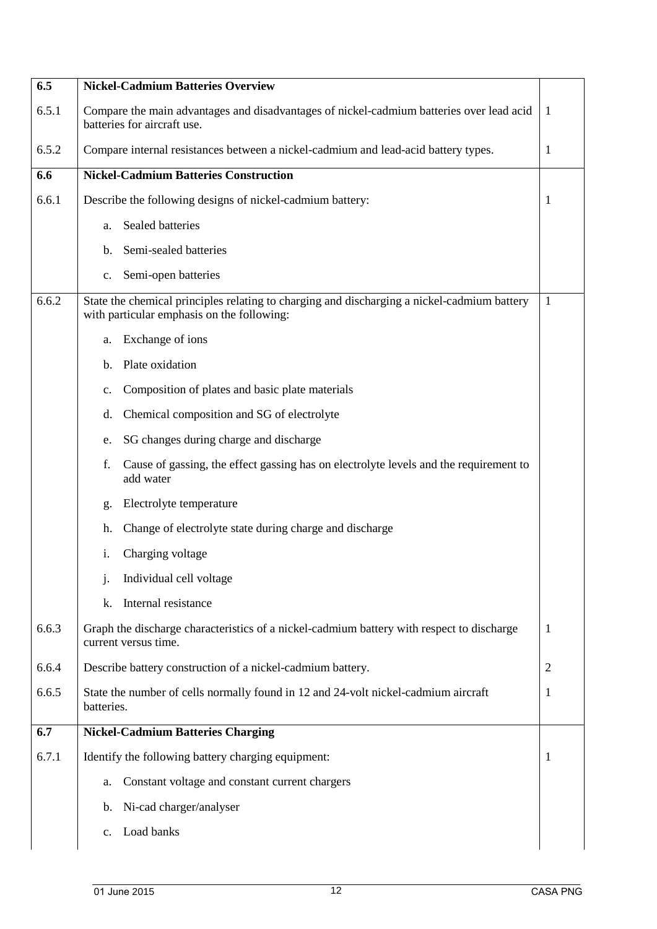| 6.5   | <b>Nickel-Cadmium Batteries Overview</b>                                                                                                  |                |
|-------|-------------------------------------------------------------------------------------------------------------------------------------------|----------------|
| 6.5.1 | Compare the main advantages and disadvantages of nickel-cadmium batteries over lead acid<br>batteries for aircraft use.                   | $\overline{1}$ |
| 6.5.2 | Compare internal resistances between a nickel-cadmium and lead-acid battery types.                                                        | 1              |
| 6.6   | <b>Nickel-Cadmium Batteries Construction</b>                                                                                              |                |
| 6.6.1 | Describe the following designs of nickel-cadmium battery:                                                                                 | 1              |
|       | Sealed batteries<br>a.                                                                                                                    |                |
|       | Semi-sealed batteries<br>b.                                                                                                               |                |
|       | Semi-open batteries<br>c.                                                                                                                 |                |
| 6.6.2 | State the chemical principles relating to charging and discharging a nickel-cadmium battery<br>with particular emphasis on the following: | $\mathbf{1}$   |
|       | Exchange of ions<br>a.                                                                                                                    |                |
|       | Plate oxidation<br>b.                                                                                                                     |                |
|       | Composition of plates and basic plate materials<br>c.                                                                                     |                |
|       | Chemical composition and SG of electrolyte<br>d.                                                                                          |                |
|       | SG changes during charge and discharge<br>e.                                                                                              |                |
|       | f.<br>Cause of gassing, the effect gassing has on electrolyte levels and the requirement to<br>add water                                  |                |
|       | Electrolyte temperature<br>g.                                                                                                             |                |
|       | Change of electrolyte state during charge and discharge<br>h.                                                                             |                |
|       | Charging voltage<br>i.                                                                                                                    |                |
|       | Individual cell voltage                                                                                                                   |                |
|       | Internal resistance<br>k.                                                                                                                 |                |
| 6.6.3 | Graph the discharge characteristics of a nickel-cadmium battery with respect to discharge<br>current versus time.                         | $\mathbf{1}$   |
| 6.6.4 | Describe battery construction of a nickel-cadmium battery.                                                                                | $\overline{2}$ |
| 6.6.5 | State the number of cells normally found in 12 and 24-volt nickel-cadmium aircraft<br>batteries.                                          | 1              |
| 6.7   | <b>Nickel-Cadmium Batteries Charging</b>                                                                                                  |                |
| 6.7.1 | Identify the following battery charging equipment:                                                                                        | 1              |
|       | Constant voltage and constant current chargers<br>a.                                                                                      |                |
|       | Ni-cad charger/analyser<br>b.                                                                                                             |                |
|       | Load banks<br>$c_{\cdot}$                                                                                                                 |                |
|       |                                                                                                                                           |                |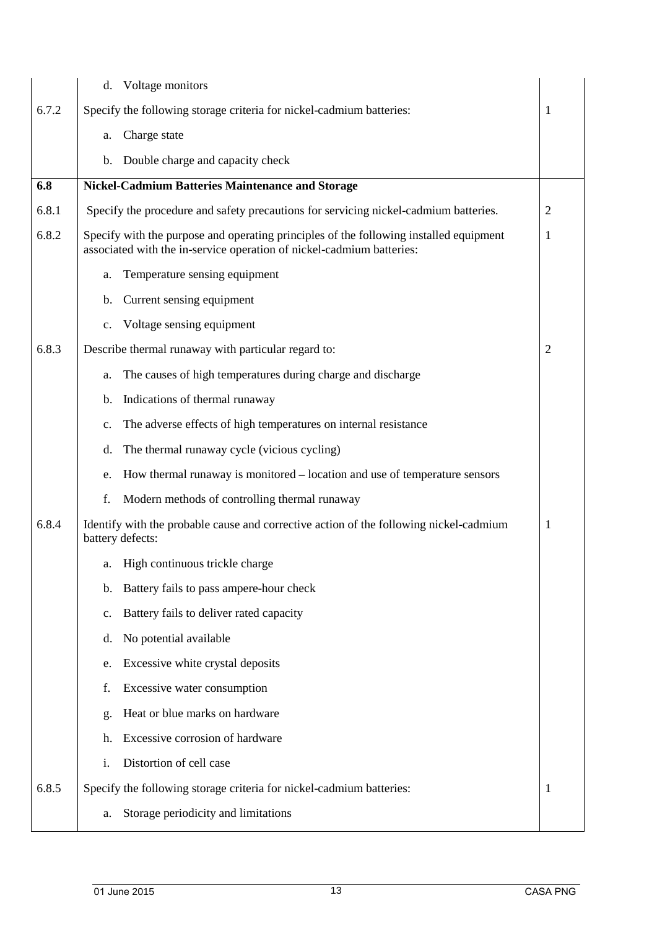|       | Voltage monitors<br>d.                                                                                                                                          |                |
|-------|-----------------------------------------------------------------------------------------------------------------------------------------------------------------|----------------|
| 6.7.2 | Specify the following storage criteria for nickel-cadmium batteries:                                                                                            | 1              |
|       | Charge state<br>a.                                                                                                                                              |                |
|       | Double charge and capacity check<br>b.                                                                                                                          |                |
| 6.8   | <b>Nickel-Cadmium Batteries Maintenance and Storage</b>                                                                                                         |                |
| 6.8.1 | Specify the procedure and safety precautions for servicing nickel-cadmium batteries.                                                                            | $\overline{2}$ |
| 6.8.2 | Specify with the purpose and operating principles of the following installed equipment<br>associated with the in-service operation of nickel-cadmium batteries: | $\mathbf{1}$   |
|       | Temperature sensing equipment<br>a.                                                                                                                             |                |
|       | Current sensing equipment<br>b.                                                                                                                                 |                |
|       | Voltage sensing equipment<br>$\mathbf{c}$ .                                                                                                                     |                |
| 6.8.3 | Describe thermal runaway with particular regard to:                                                                                                             | $\overline{2}$ |
|       | The causes of high temperatures during charge and discharge<br>a.                                                                                               |                |
|       | Indications of thermal runaway<br>b.                                                                                                                            |                |
|       | The adverse effects of high temperatures on internal resistance<br>c.                                                                                           |                |
|       | The thermal runaway cycle (vicious cycling)<br>d.                                                                                                               |                |
|       | How thermal runaway is monitored – location and use of temperature sensors<br>e.                                                                                |                |
|       | f.<br>Modern methods of controlling thermal runaway                                                                                                             |                |
| 6.8.4 | Identify with the probable cause and corrective action of the following nickel-cadmium<br>battery defects:                                                      | $\mathbf{1}$   |
|       | High continuous trickle charge<br>a.                                                                                                                            |                |
|       | Battery fails to pass ampere-hour check<br>b.                                                                                                                   |                |
|       | Battery fails to deliver rated capacity<br>c.                                                                                                                   |                |
|       | No potential available<br>d.                                                                                                                                    |                |
|       | Excessive white crystal deposits<br>e.                                                                                                                          |                |
|       | f.<br>Excessive water consumption                                                                                                                               |                |
|       | Heat or blue marks on hardware<br>g.                                                                                                                            |                |
|       | Excessive corrosion of hardware<br>h.                                                                                                                           |                |
|       | Distortion of cell case<br>i.                                                                                                                                   |                |
| 6.8.5 | Specify the following storage criteria for nickel-cadmium batteries:                                                                                            | 1              |
|       | Storage periodicity and limitations<br>a.                                                                                                                       |                |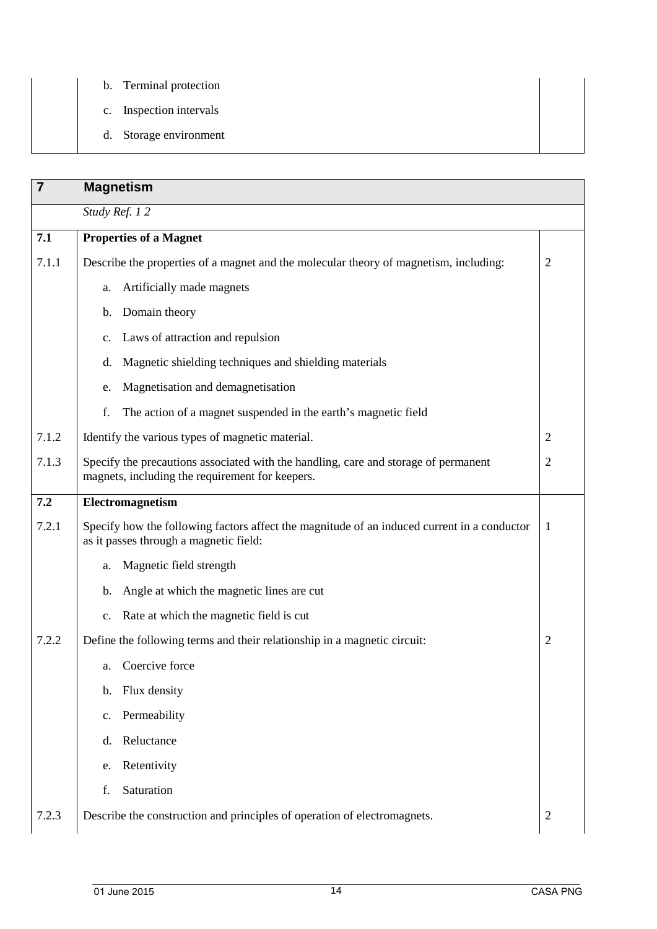|  | b. Terminal protection  |  |
|--|-------------------------|--|
|  | c. Inspection intervals |  |
|  | d. Storage environment  |  |

| $\overline{7}$ | <b>Magnetism</b>                                                                                                                       |                |
|----------------|----------------------------------------------------------------------------------------------------------------------------------------|----------------|
|                | Study Ref. 12                                                                                                                          |                |
| 7.1            | <b>Properties of a Magnet</b>                                                                                                          |                |
| 7.1.1          | Describe the properties of a magnet and the molecular theory of magnetism, including:                                                  | $\overline{2}$ |
|                | Artificially made magnets<br>a.                                                                                                        |                |
|                | Domain theory<br>b.                                                                                                                    |                |
|                | Laws of attraction and repulsion<br>$\mathbf{c}$ .                                                                                     |                |
|                | Magnetic shielding techniques and shielding materials<br>d.                                                                            |                |
|                | Magnetisation and demagnetisation<br>e.                                                                                                |                |
|                | The action of a magnet suspended in the earth's magnetic field<br>f.                                                                   |                |
| 7.1.2          | Identify the various types of magnetic material.                                                                                       | $\overline{2}$ |
| 7.1.3          | Specify the precautions associated with the handling, care and storage of permanent<br>magnets, including the requirement for keepers. | $\overline{2}$ |
| 7.2            | Electromagnetism                                                                                                                       |                |
| 7.2.1          | Specify how the following factors affect the magnitude of an induced current in a conductor<br>as it passes through a magnetic field:  | -1             |
|                | Magnetic field strength<br>a.                                                                                                          |                |
|                | Angle at which the magnetic lines are cut<br>b.                                                                                        |                |
|                | Rate at which the magnetic field is cut<br>$\mathbf{c}$ .                                                                              |                |
| 7.2.2          | Define the following terms and their relationship in a magnetic circuit:                                                               | $\overline{2}$ |
|                | Coercive force<br>a.                                                                                                                   |                |
|                | Flux density<br>b.                                                                                                                     |                |
|                | Permeability<br>c.                                                                                                                     |                |
|                | Reluctance<br>d.                                                                                                                       |                |
|                | Retentivity<br>e.                                                                                                                      |                |
|                | Saturation<br>f.                                                                                                                       |                |
| 7.2.3          | Describe the construction and principles of operation of electromagnets.                                                               | $\overline{2}$ |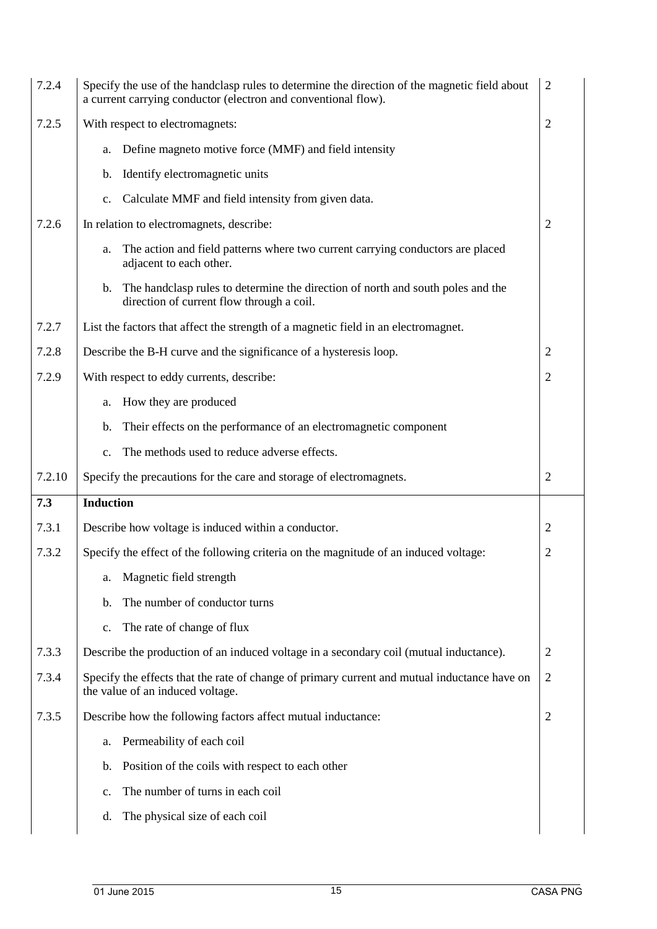| 7.2.4  |                  | Specify the use of the handclasp rules to determine the direction of the magnetic field about<br>a current carrying conductor (electron and conventional flow). | $\overline{2}$ |
|--------|------------------|-----------------------------------------------------------------------------------------------------------------------------------------------------------------|----------------|
| 7.2.5  |                  | With respect to electromagnets:                                                                                                                                 | $\overline{2}$ |
|        | a.               | Define magneto motive force (MMF) and field intensity                                                                                                           |                |
|        | b.               | Identify electromagnetic units                                                                                                                                  |                |
|        | c.               | Calculate MMF and field intensity from given data.                                                                                                              |                |
| 7.2.6  |                  | In relation to electromagnets, describe:                                                                                                                        | $\overline{2}$ |
|        | a.               | The action and field patterns where two current carrying conductors are placed<br>adjacent to each other.                                                       |                |
|        | b.               | The handclasp rules to determine the direction of north and south poles and the<br>direction of current flow through a coil.                                    |                |
| 7.2.7  |                  | List the factors that affect the strength of a magnetic field in an electromagnet.                                                                              |                |
| 7.2.8  |                  | Describe the B-H curve and the significance of a hysteresis loop.                                                                                               | 2              |
| 7.2.9  |                  | With respect to eddy currents, describe:                                                                                                                        | $\overline{2}$ |
|        | a.               | How they are produced                                                                                                                                           |                |
|        | b.               | Their effects on the performance of an electromagnetic component                                                                                                |                |
|        | $\mathbf{c}$ .   | The methods used to reduce adverse effects.                                                                                                                     |                |
|        |                  |                                                                                                                                                                 |                |
| 7.2.10 |                  | Specify the precautions for the care and storage of electromagnets.                                                                                             | $\overline{2}$ |
| 7.3    | <b>Induction</b> |                                                                                                                                                                 |                |
| 7.3.1  |                  | Describe how voltage is induced within a conductor.                                                                                                             | $\overline{2}$ |
| 7.3.2  |                  | Specify the effect of the following criteria on the magnitude of an induced voltage:                                                                            | 2              |
|        | a.               | Magnetic field strength                                                                                                                                         |                |
|        | b.               | The number of conductor turns                                                                                                                                   |                |
|        | c.               | The rate of change of flux                                                                                                                                      |                |
| 7.3.3  |                  | Describe the production of an induced voltage in a secondary coil (mutual inductance).                                                                          | $\overline{2}$ |
| 7.3.4  |                  | Specify the effects that the rate of change of primary current and mutual inductance have on<br>the value of an induced voltage.                                | $\overline{2}$ |
| 7.3.5  |                  | Describe how the following factors affect mutual inductance:                                                                                                    | 2              |
|        | a.               | Permeability of each coil                                                                                                                                       |                |
|        | b.               | Position of the coils with respect to each other                                                                                                                |                |
|        | c.               | The number of turns in each coil                                                                                                                                |                |
|        | d.               | The physical size of each coil                                                                                                                                  |                |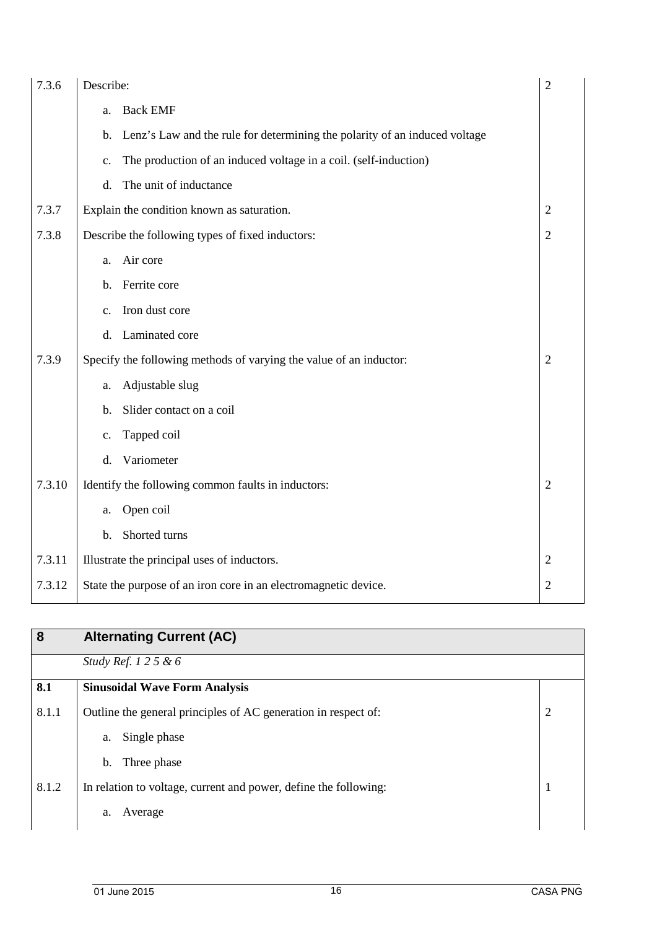| $\overline{2}$<br>$\overline{2}$ |
|----------------------------------|
|                                  |
|                                  |
|                                  |
|                                  |
|                                  |
|                                  |
|                                  |
|                                  |
|                                  |
|                                  |
| $\overline{2}$                   |
|                                  |
|                                  |
|                                  |
|                                  |
| $\overline{2}$                   |
|                                  |
|                                  |
| $\overline{2}$                   |
|                                  |
|                                  |

| <b>Alternating Current (AC)</b>                                  |             |
|------------------------------------------------------------------|-------------|
| <i>Study Ref.</i> $1 \ 2 \ 5 \ \& \ 6$                           |             |
| <b>Sinusoidal Wave Form Analysis</b>                             |             |
| Outline the general principles of AC generation in respect of:   | 2           |
| Single phase<br>a.                                               |             |
| Three phase<br>$\mathbf b$ .                                     |             |
| In relation to voltage, current and power, define the following: | $\mathbf 1$ |
| Average<br>a.                                                    |             |
|                                                                  |             |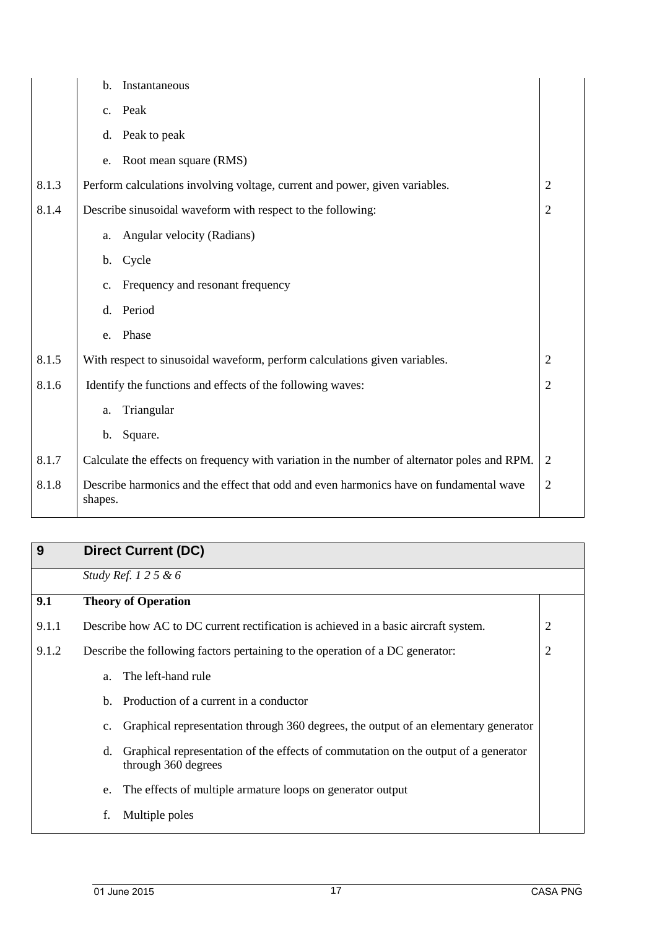|       | Instantaneous<br>b.                                                                               |                |
|-------|---------------------------------------------------------------------------------------------------|----------------|
|       | Peak<br>$c_{\cdot}$                                                                               |                |
|       | Peak to peak<br>d.                                                                                |                |
|       | Root mean square (RMS)<br>e.                                                                      |                |
| 8.1.3 | Perform calculations involving voltage, current and power, given variables.                       | $\overline{2}$ |
| 8.1.4 | Describe sinusoidal waveform with respect to the following:                                       | $\overline{2}$ |
|       | Angular velocity (Radians)<br>a.                                                                  |                |
|       | Cycle<br>b.                                                                                       |                |
|       | Frequency and resonant frequency<br>c.                                                            |                |
|       | Period<br>d.                                                                                      |                |
|       | Phase<br>e.                                                                                       |                |
| 8.1.5 | With respect to sinusoidal waveform, perform calculations given variables.                        | $\overline{2}$ |
| 8.1.6 | Identify the functions and effects of the following waves:                                        | $\overline{2}$ |
|       | Triangular<br>a.                                                                                  |                |
|       | b.<br>Square.                                                                                     |                |
| 8.1.7 | Calculate the effects on frequency with variation in the number of alternator poles and RPM.      | $\overline{2}$ |
| 8.1.8 | Describe harmonics and the effect that odd and even harmonics have on fundamental wave<br>shapes. | $\overline{2}$ |

| 9     | <b>Direct Current (DC)</b>                                                                                       |   |
|-------|------------------------------------------------------------------------------------------------------------------|---|
|       | <i>Study Ref. 1 2 5 &amp; 6</i>                                                                                  |   |
| 9.1   | <b>Theory of Operation</b>                                                                                       |   |
| 9.1.1 | Describe how AC to DC current rectification is achieved in a basic aircraft system.                              | 2 |
| 9.1.2 | Describe the following factors pertaining to the operation of a DC generator:                                    | 2 |
|       | The left-hand rule<br>a.                                                                                         |   |
|       | Production of a current in a conductor<br>$\mathbf{b}$ .                                                         |   |
|       | Graphical representation through 360 degrees, the output of an elementary generator<br>$\mathbf{c}$ .            |   |
|       | Graphical representation of the effects of commutation on the output of a generator<br>d.<br>through 360 degrees |   |
|       | The effects of multiple armature loops on generator output<br>e.                                                 |   |
|       | f.<br>Multiple poles                                                                                             |   |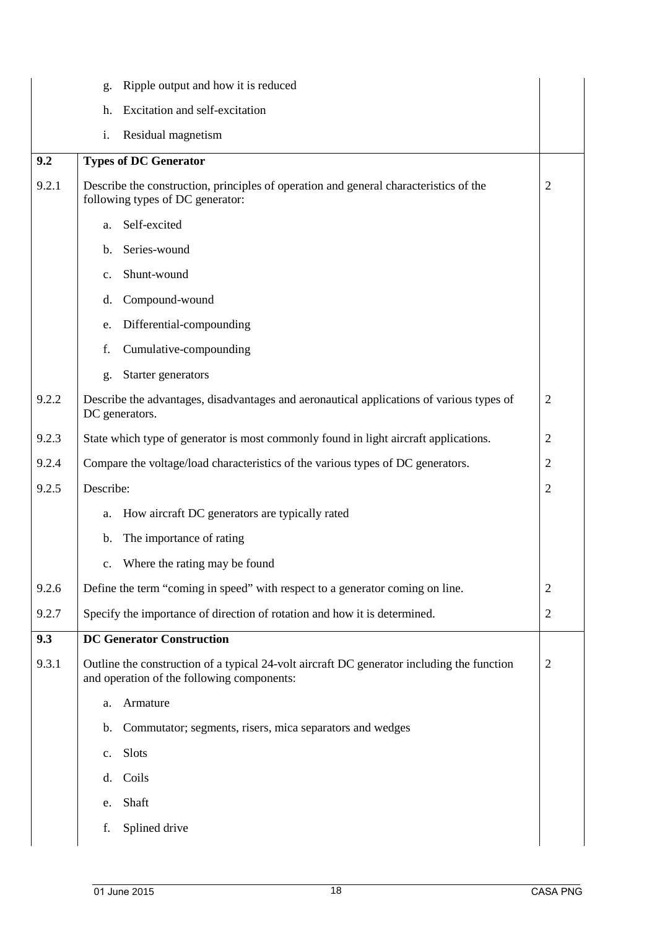|       | Ripple output and how it is reduced<br>g.                                                                                                |                |
|-------|------------------------------------------------------------------------------------------------------------------------------------------|----------------|
|       | Excitation and self-excitation<br>h.                                                                                                     |                |
|       | i.<br>Residual magnetism                                                                                                                 |                |
| 9.2   | <b>Types of DC Generator</b>                                                                                                             |                |
| 9.2.1 | Describe the construction, principles of operation and general characteristics of the<br>following types of DC generator:                | $\overline{2}$ |
|       | Self-excited<br>a.                                                                                                                       |                |
|       | Series-wound<br>$\mathbf{b}$ .                                                                                                           |                |
|       | Shunt-wound<br>c.                                                                                                                        |                |
|       | Compound-wound<br>d.                                                                                                                     |                |
|       | Differential-compounding<br>e.                                                                                                           |                |
|       | f.<br>Cumulative-compounding                                                                                                             |                |
|       | Starter generators<br>g.                                                                                                                 |                |
| 9.2.2 | Describe the advantages, disadvantages and aeronautical applications of various types of<br>DC generators.                               | $\overline{2}$ |
| 9.2.3 | State which type of generator is most commonly found in light aircraft applications.                                                     | $\overline{2}$ |
| 9.2.4 | Compare the voltage/load characteristics of the various types of DC generators.                                                          | $\overline{2}$ |
| 9.2.5 | Describe:                                                                                                                                | $\overline{2}$ |
|       | How aircraft DC generators are typically rated<br>a.                                                                                     |                |
|       | The importance of rating<br>b.                                                                                                           |                |
|       | Where the rating may be found<br>c.                                                                                                      |                |
| 9.2.6 | Define the term "coming in speed" with respect to a generator coming on line.                                                            | $\overline{2}$ |
| 9.2.7 | Specify the importance of direction of rotation and how it is determined.                                                                | $\overline{2}$ |
| 9.3   | <b>DC Generator Construction</b>                                                                                                         |                |
| 9.3.1 | Outline the construction of a typical 24-volt aircraft DC generator including the function<br>and operation of the following components: | $\overline{2}$ |
|       | Armature<br>a.                                                                                                                           |                |
|       | Commutator; segments, risers, mica separators and wedges<br>b.                                                                           |                |
|       | <b>Slots</b><br>$\mathbf{c}$ .                                                                                                           |                |
|       | Coils<br>d.                                                                                                                              |                |
|       | Shaft<br>e.                                                                                                                              |                |
|       | Splined drive<br>f.                                                                                                                      |                |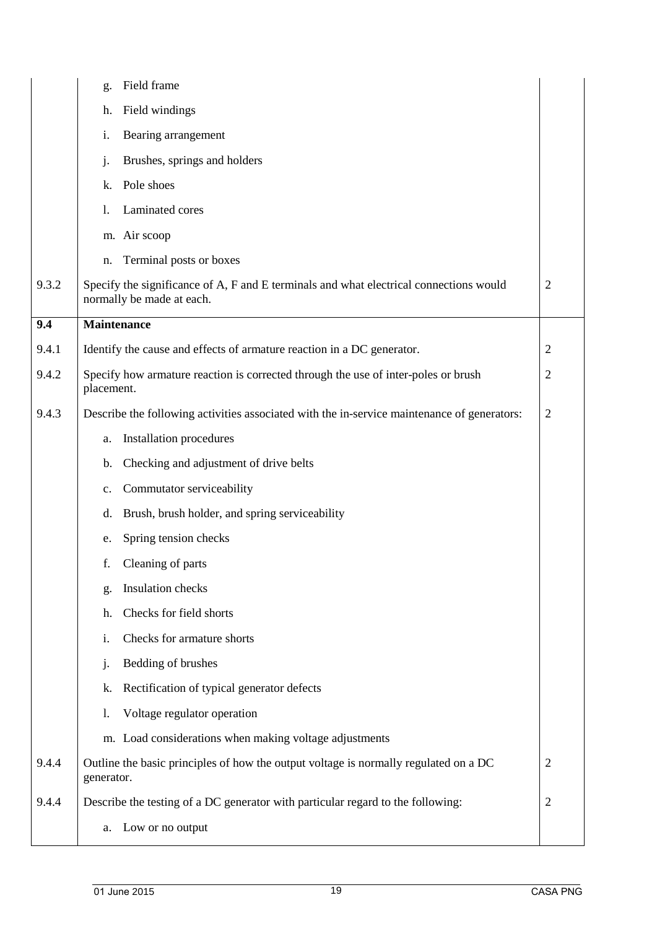|       | Field frame<br>g.                                                                                                   |                |
|-------|---------------------------------------------------------------------------------------------------------------------|----------------|
|       | Field windings<br>h.                                                                                                |                |
|       | i.<br>Bearing arrangement                                                                                           |                |
|       | j.<br>Brushes, springs and holders                                                                                  |                |
|       | Pole shoes<br>k.                                                                                                    |                |
|       | Laminated cores<br>1.                                                                                               |                |
|       | m. Air scoop                                                                                                        |                |
|       | Terminal posts or boxes<br>n.                                                                                       |                |
| 9.3.2 | Specify the significance of A, F and E terminals and what electrical connections would<br>normally be made at each. | $\overline{2}$ |
| 9.4   | <b>Maintenance</b>                                                                                                  |                |
| 9.4.1 | Identify the cause and effects of armature reaction in a DC generator.                                              | $\overline{2}$ |
| 9.4.2 | Specify how armature reaction is corrected through the use of inter-poles or brush<br>placement.                    | $\overline{2}$ |
| 9.4.3 | Describe the following activities associated with the in-service maintenance of generators:                         | $\overline{2}$ |
|       | <b>Installation procedures</b><br>a.                                                                                |                |
|       | Checking and adjustment of drive belts<br>$\mathbf b$ .                                                             |                |
|       | Commutator serviceability<br>c.                                                                                     |                |
|       | Brush, brush holder, and spring serviceability<br>d.                                                                |                |
|       | Spring tension checks<br>e.                                                                                         |                |
|       | f.<br>Cleaning of parts                                                                                             |                |
|       | Insulation checks<br>g.                                                                                             |                |
|       | Checks for field shorts<br>h.                                                                                       |                |
|       | Checks for armature shorts<br>i.                                                                                    |                |
|       | Bedding of brushes<br>j.                                                                                            |                |
|       | Rectification of typical generator defects<br>k.                                                                    |                |
|       | Voltage regulator operation<br>1.                                                                                   |                |
|       | m. Load considerations when making voltage adjustments                                                              |                |
| 9.4.4 | Outline the basic principles of how the output voltage is normally regulated on a DC<br>generator.                  | $\overline{2}$ |
| 9.4.4 | Describe the testing of a DC generator with particular regard to the following:                                     | $\overline{2}$ |
|       | Low or no output<br>a.                                                                                              |                |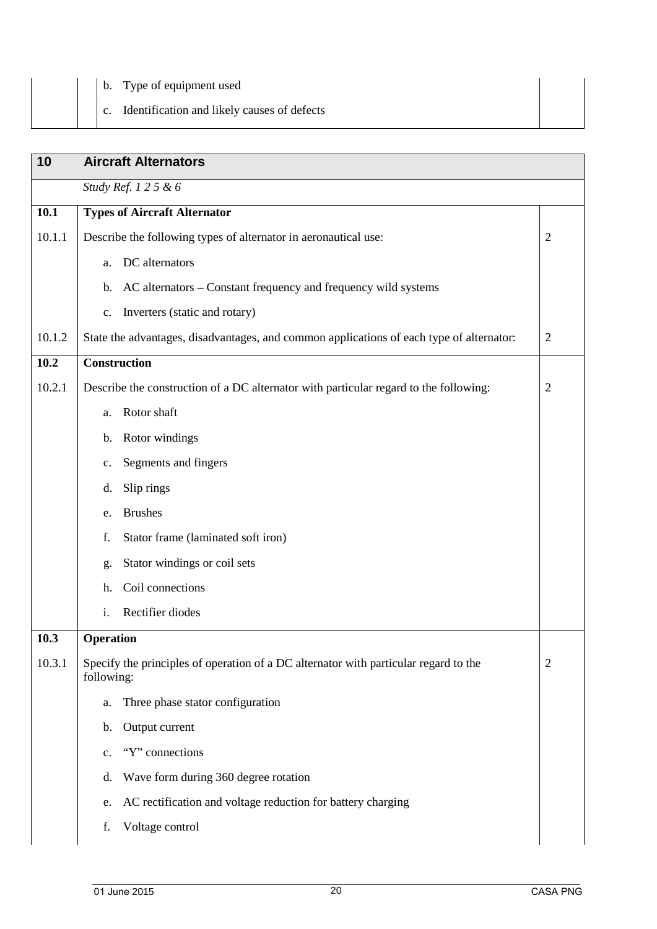| Type of equipment used<br>b. |
|------------------------------|
|------------------------------|

c. Identification and likely causes of defects

| 10     | <b>Aircraft Alternators</b>                                                                        |                |
|--------|----------------------------------------------------------------------------------------------------|----------------|
|        | Study Ref. 125 & 6                                                                                 |                |
| 10.1   | <b>Types of Aircraft Alternator</b>                                                                |                |
| 10.1.1 | Describe the following types of alternator in aeronautical use:                                    | $\overline{2}$ |
|        | DC alternators<br>a.                                                                               |                |
|        | AC alternators – Constant frequency and frequency wild systems<br>b.                               |                |
|        | Inverters (static and rotary)<br>$\mathbf{c}$ .                                                    |                |
| 10.1.2 | State the advantages, disadvantages, and common applications of each type of alternator:           | $\overline{2}$ |
| 10.2   | <b>Construction</b>                                                                                |                |
| 10.2.1 | Describe the construction of a DC alternator with particular regard to the following:              | $\overline{2}$ |
|        | Rotor shaft<br>a.                                                                                  |                |
|        | Rotor windings<br>b.                                                                               |                |
|        | Segments and fingers<br>c.                                                                         |                |
|        | Slip rings<br>d.                                                                                   |                |
|        | <b>Brushes</b><br>e.                                                                               |                |
|        | Stator frame (laminated soft iron)<br>f.                                                           |                |
|        | Stator windings or coil sets<br>g.                                                                 |                |
|        | Coil connections<br>h.                                                                             |                |
|        | Rectifier diodes<br>i.                                                                             |                |
| 10.3   | Operation                                                                                          |                |
| 10.3.1 | Specify the principles of operation of a DC alternator with particular regard to the<br>following: | $\overline{2}$ |
|        | Three phase stator configuration<br>a.                                                             |                |
|        | Output current<br>b.                                                                               |                |
|        | "Y" connections<br>c.                                                                              |                |
|        | Wave form during 360 degree rotation<br>d.                                                         |                |
|        | AC rectification and voltage reduction for battery charging<br>e.                                  |                |
|        | Voltage control<br>f.                                                                              |                |
|        |                                                                                                    |                |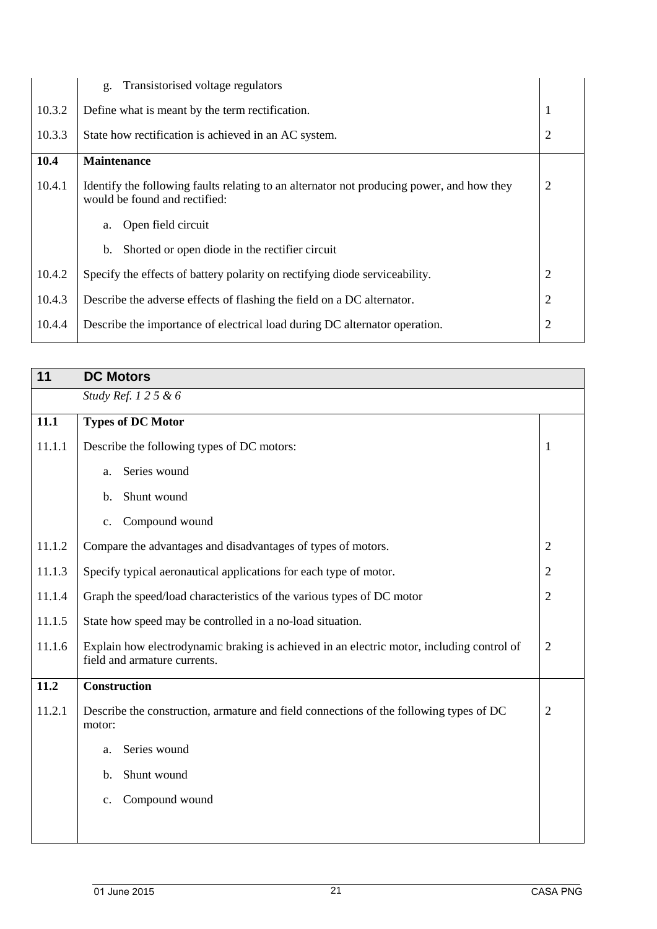|        | Transistorised voltage regulators<br>g.                                                                                    |                |
|--------|----------------------------------------------------------------------------------------------------------------------------|----------------|
| 10.3.2 | Define what is meant by the term rectification.                                                                            |                |
| 10.3.3 | State how rectification is achieved in an AC system.                                                                       | 2              |
| 10.4   | <b>Maintenance</b>                                                                                                         |                |
| 10.4.1 | Identify the following faults relating to an alternator not producing power, and how they<br>would be found and rectified: | 2              |
|        | Open field circuit<br>a.                                                                                                   |                |
|        | Shorted or open diode in the rectifier circuit<br>b.                                                                       |                |
| 10.4.2 | Specify the effects of battery polarity on rectifying diode serviceability.                                                | 2              |
| 10.4.3 | Describe the adverse effects of flashing the field on a DC alternator.                                                     | $\overline{2}$ |
| 10.4.4 | Describe the importance of electrical load during DC alternator operation.                                                 | 2              |
|        |                                                                                                                            |                |

| 11     | <b>DC Motors</b>                                                                                                          |                |
|--------|---------------------------------------------------------------------------------------------------------------------------|----------------|
|        | Study Ref. 125 & 6                                                                                                        |                |
| 11.1   | <b>Types of DC Motor</b>                                                                                                  |                |
| 11.1.1 | Describe the following types of DC motors:                                                                                | $\mathbf{1}$   |
|        | Series wound<br>a.                                                                                                        |                |
|        | Shunt wound<br>b.                                                                                                         |                |
|        | Compound wound<br>c.                                                                                                      |                |
| 11.1.2 | Compare the advantages and disadvantages of types of motors.                                                              | $\overline{2}$ |
| 11.1.3 | Specify typical aeronautical applications for each type of motor.                                                         | $\overline{2}$ |
| 11.1.4 | Graph the speed/load characteristics of the various types of DC motor                                                     | $\overline{2}$ |
| 11.1.5 | State how speed may be controlled in a no-load situation.                                                                 |                |
| 11.1.6 | Explain how electrodynamic braking is achieved in an electric motor, including control of<br>field and armature currents. | $\overline{2}$ |
| 11.2   | Construction                                                                                                              |                |
| 11.2.1 | Describe the construction, armature and field connections of the following types of DC<br>motor:                          | $\overline{2}$ |
|        | Series wound<br>a.                                                                                                        |                |
|        | Shunt wound<br>b.                                                                                                         |                |
|        | Compound wound<br>$\mathbf{c}$ .                                                                                          |                |
|        |                                                                                                                           |                |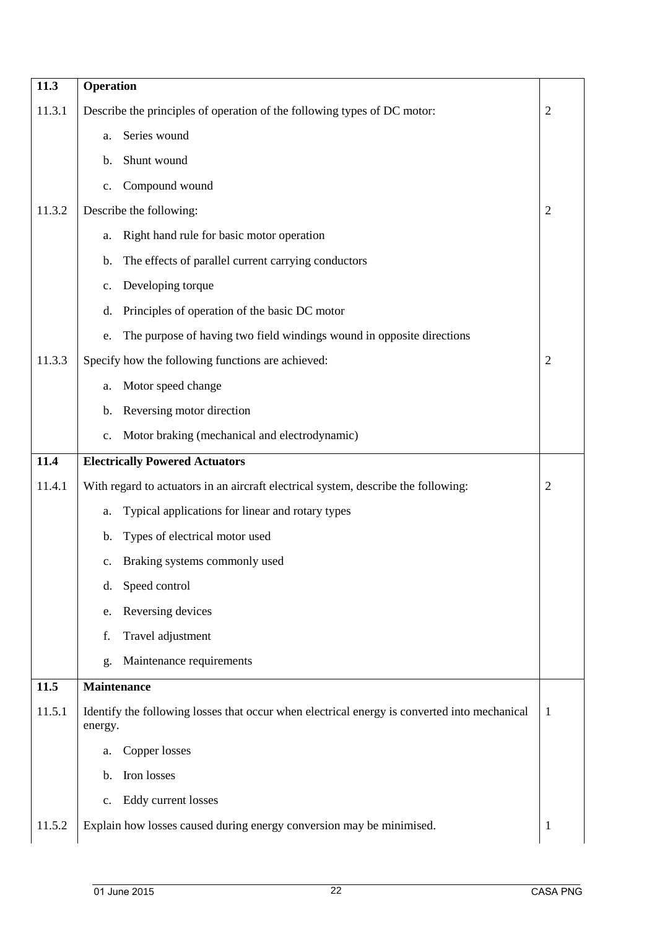| 11.3   | Operation                                                                                               |                |
|--------|---------------------------------------------------------------------------------------------------------|----------------|
| 11.3.1 | Describe the principles of operation of the following types of DC motor:                                | $\overline{2}$ |
|        | Series wound<br>a.                                                                                      |                |
|        | Shunt wound<br>b.                                                                                       |                |
|        | Compound wound<br>c.                                                                                    |                |
| 11.3.2 | Describe the following:                                                                                 | $\overline{2}$ |
|        | Right hand rule for basic motor operation<br>a.                                                         |                |
|        | The effects of parallel current carrying conductors<br>b.                                               |                |
|        | Developing torque<br>c.                                                                                 |                |
|        | Principles of operation of the basic DC motor<br>d.                                                     |                |
|        | The purpose of having two field windings wound in opposite directions<br>e.                             |                |
| 11.3.3 | Specify how the following functions are achieved:                                                       | $\overline{2}$ |
|        | Motor speed change<br>a.                                                                                |                |
|        | Reversing motor direction<br>b.                                                                         |                |
|        | Motor braking (mechanical and electrodynamic)<br>c.                                                     |                |
| 11.4   | <b>Electrically Powered Actuators</b>                                                                   |                |
| 11.4.1 | With regard to actuators in an aircraft electrical system, describe the following:                      | 2              |
|        | Typical applications for linear and rotary types<br>a.                                                  |                |
|        | Types of electrical motor used<br>b.                                                                    |                |
|        | Braking systems commonly used<br>c.                                                                     |                |
|        | Speed control<br>d.                                                                                     |                |
|        | Reversing devices<br>e.                                                                                 |                |
|        | Travel adjustment<br>f.                                                                                 |                |
|        | Maintenance requirements<br>g.                                                                          |                |
| 11.5   | Maintenance                                                                                             |                |
| 11.5.1 | Identify the following losses that occur when electrical energy is converted into mechanical<br>energy. | -1             |
|        | Copper losses<br>a.                                                                                     |                |
|        | Iron losses<br>$\mathbf{b}$ .                                                                           |                |
|        | Eddy current losses<br>c.                                                                               |                |
| 11.5.2 | Explain how losses caused during energy conversion may be minimised.                                    | $\mathbf{1}$   |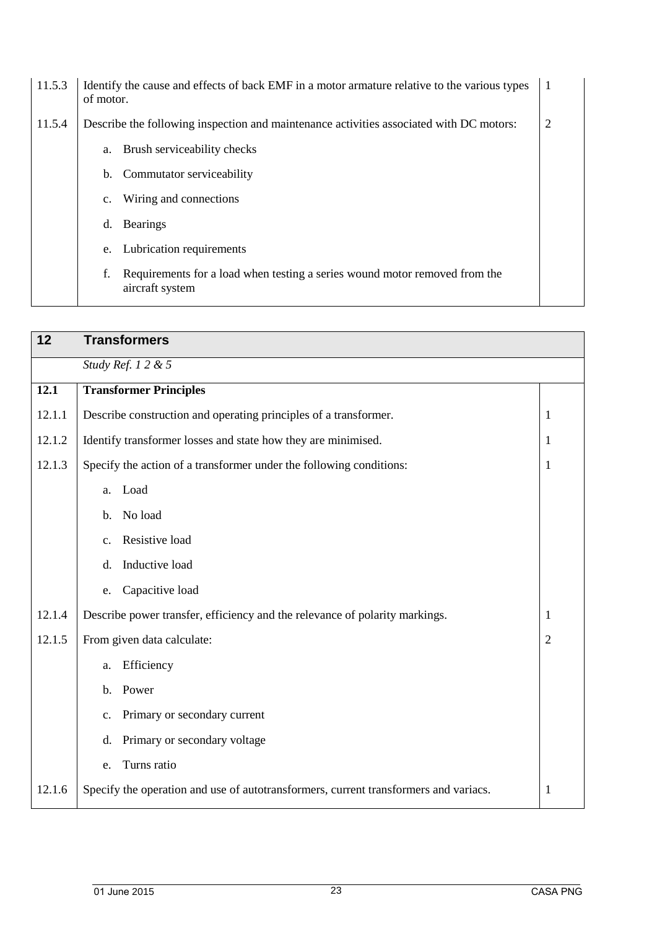| 11.5.3 | Identify the cause and effects of back EMF in a motor armature relative to the various types<br>of motor. | 1              |
|--------|-----------------------------------------------------------------------------------------------------------|----------------|
| 11.5.4 | Describe the following inspection and maintenance activities associated with DC motors:                   | $\overline{2}$ |
|        | Brush serviceability checks<br>a.                                                                         |                |
|        | Commutator serviceability<br>b.                                                                           |                |
|        | Wiring and connections<br>$\mathbf{c}$ .                                                                  |                |
|        | <b>Bearings</b><br>d.                                                                                     |                |
|        | Lubrication requirements<br>e.                                                                            |                |
|        | Requirements for a load when testing a series wound motor removed from the<br>f.<br>aircraft system       |                |

| 12     | <b>Transformers</b>                                                                  |                |
|--------|--------------------------------------------------------------------------------------|----------------|
|        | Study Ref. 1 2 & 5                                                                   |                |
| 12.1   | <b>Transformer Principles</b>                                                        |                |
| 12.1.1 | Describe construction and operating principles of a transformer.                     | 1              |
| 12.1.2 | Identify transformer losses and state how they are minimised.                        | 1              |
| 12.1.3 | Specify the action of a transformer under the following conditions:                  | 1              |
|        | Load<br>a.                                                                           |                |
|        | No load<br>b.                                                                        |                |
|        | Resistive load<br>$C_{\bullet}$                                                      |                |
|        | Inductive load<br>d.                                                                 |                |
|        | Capacitive load<br>e.                                                                |                |
| 12.1.4 | Describe power transfer, efficiency and the relevance of polarity markings.          | 1              |
| 12.1.5 | From given data calculate:                                                           | $\overline{2}$ |
|        | Efficiency<br>a.                                                                     |                |
|        | Power<br>$\mathbf{b}$ .                                                              |                |
|        | Primary or secondary current<br>c.                                                   |                |
|        | Primary or secondary voltage<br>d.                                                   |                |
|        | Turns ratio<br>e.                                                                    |                |
| 12.1.6 | Specify the operation and use of autotransformers, current transformers and variacs. | 1              |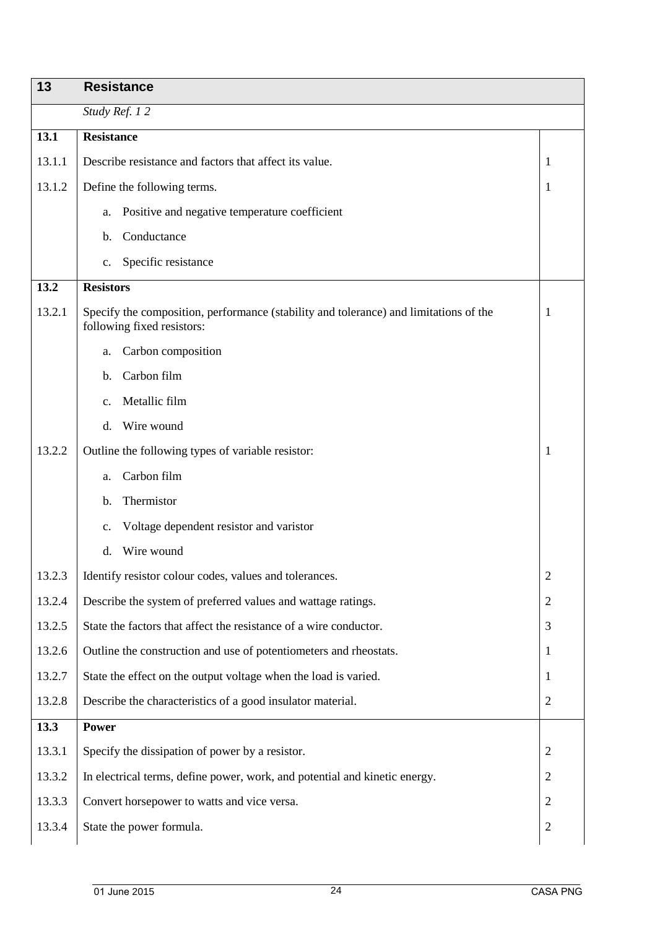| 13     | <b>Resistance</b>                                                                                                   |                |
|--------|---------------------------------------------------------------------------------------------------------------------|----------------|
|        | Study Ref. 12                                                                                                       |                |
| 13.1   | <b>Resistance</b>                                                                                                   |                |
| 13.1.1 | Describe resistance and factors that affect its value.                                                              | 1              |
| 13.1.2 | Define the following terms.                                                                                         | 1              |
|        | Positive and negative temperature coefficient<br>a.                                                                 |                |
|        | Conductance<br>$\mathbf{b}$ .                                                                                       |                |
|        | Specific resistance<br>c.                                                                                           |                |
| 13.2   | <b>Resistors</b>                                                                                                    |                |
| 13.2.1 | Specify the composition, performance (stability and tolerance) and limitations of the<br>following fixed resistors: | 1              |
|        | Carbon composition<br>a.                                                                                            |                |
|        | Carbon film<br>b.                                                                                                   |                |
|        | Metallic film<br>c.                                                                                                 |                |
|        | Wire wound<br>d.                                                                                                    |                |
| 13.2.2 | Outline the following types of variable resistor:                                                                   | 1              |
|        | Carbon film<br>a.                                                                                                   |                |
|        | Thermistor<br>b.                                                                                                    |                |
|        | Voltage dependent resistor and varistor<br>c.                                                                       |                |
|        | Wire wound<br>d.                                                                                                    |                |
| 13.2.3 | Identify resistor colour codes, values and tolerances.                                                              | $\overline{c}$ |
| 13.2.4 | Describe the system of preferred values and wattage ratings.                                                        | 2              |
| 13.2.5 | State the factors that affect the resistance of a wire conductor.                                                   | 3              |
| 13.2.6 | Outline the construction and use of potentiometers and rheostats.                                                   | 1              |
| 13.2.7 | State the effect on the output voltage when the load is varied.                                                     | 1              |
| 13.2.8 | Describe the characteristics of a good insulator material.                                                          | $\overline{2}$ |
| 13.3   | <b>Power</b>                                                                                                        |                |
| 13.3.1 | Specify the dissipation of power by a resistor.                                                                     | 2              |
| 13.3.2 | In electrical terms, define power, work, and potential and kinetic energy.                                          | $\overline{2}$ |
| 13.3.3 | Convert horsepower to watts and vice versa.                                                                         | 2              |
| 13.3.4 | State the power formula.                                                                                            | 2              |
|        |                                                                                                                     |                |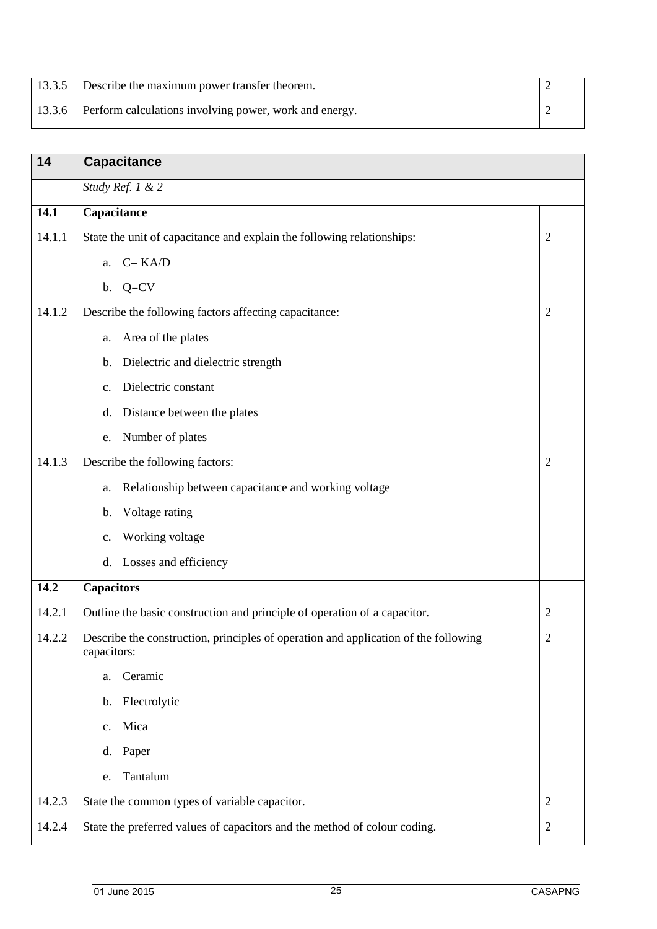| 13.3.5 Describe the maximum power transfer theorem.           |  |
|---------------------------------------------------------------|--|
| 13.3.6 Perform calculations involving power, work and energy. |  |

| 14     | <b>Capacitance</b>                                                                                 |                |
|--------|----------------------------------------------------------------------------------------------------|----------------|
|        | Study Ref. 1 & 2                                                                                   |                |
| 14.1   | Capacitance                                                                                        |                |
| 14.1.1 | State the unit of capacitance and explain the following relationships:                             | $\overline{2}$ |
|        | $C = K A/D$<br>a.                                                                                  |                |
|        | b. $Q=CV$                                                                                          |                |
| 14.1.2 | Describe the following factors affecting capacitance:                                              | $\overline{2}$ |
|        | Area of the plates<br>a.                                                                           |                |
|        | Dielectric and dielectric strength<br>b.                                                           |                |
|        | Dielectric constant<br>$\mathbf{c}$ .                                                              |                |
|        | Distance between the plates<br>d.                                                                  |                |
|        | Number of plates<br>e.                                                                             |                |
| 14.1.3 | Describe the following factors:                                                                    | $\overline{2}$ |
|        | Relationship between capacitance and working voltage<br>a.                                         |                |
|        | Voltage rating<br>b.                                                                               |                |
|        | Working voltage<br>$\mathbf{c}$ .                                                                  |                |
|        | Losses and efficiency<br>d.                                                                        |                |
| 14.2   | Capacitors                                                                                         |                |
| 14.2.1 | Outline the basic construction and principle of operation of a capacitor.                          | $\overline{2}$ |
| 14.2.2 | Describe the construction, principles of operation and application of the following<br>capacitors: | 2              |
|        | Ceramic<br>a.                                                                                      |                |
|        | Electrolytic<br>b.                                                                                 |                |
|        | Mica<br>c.                                                                                         |                |
|        | Paper<br>d.                                                                                        |                |
|        | Tantalum<br>e.                                                                                     |                |
| 14.2.3 | State the common types of variable capacitor.                                                      | $\overline{c}$ |
| 14.2.4 | State the preferred values of capacitors and the method of colour coding.                          | $\overline{2}$ |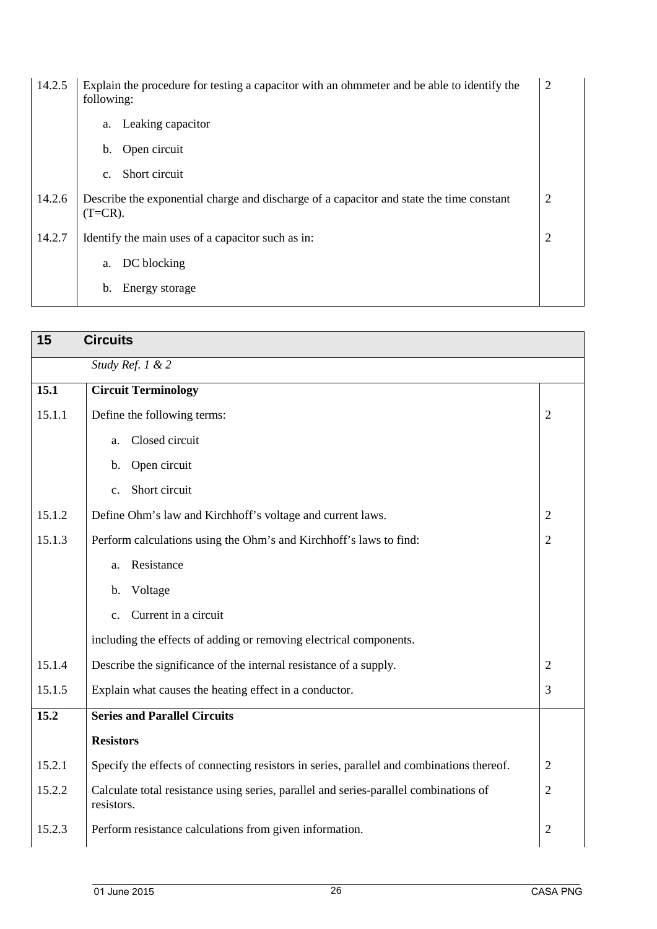| 14.2.5 | Explain the procedure for testing a capacitor with an ohmmeter and be able to identify the<br>following: | $\overline{2}$ |
|--------|----------------------------------------------------------------------------------------------------------|----------------|
|        | Leaking capacitor<br>a.                                                                                  |                |
|        | Open circuit<br>$\mathbf{b}$ .                                                                           |                |
|        | Short circuit<br>$C_{\bullet}$                                                                           |                |
| 14.2.6 | Describe the exponential charge and discharge of a capacitor and state the time constant<br>$(T=CR)$ .   | $\overline{2}$ |
| 14.2.7 | Identify the main uses of a capacitor such as in:                                                        | $\overline{2}$ |
|        | DC blocking<br>a.                                                                                        |                |
|        | Energy storage<br>b.                                                                                     |                |

| 15     | <b>Circuits</b>                                                                                     |                |
|--------|-----------------------------------------------------------------------------------------------------|----------------|
|        | Study Ref. 1 & 2                                                                                    |                |
| 15.1   | <b>Circuit Terminology</b>                                                                          |                |
| 15.1.1 | Define the following terms:                                                                         | $\overline{2}$ |
|        | Closed circuit<br>a.                                                                                |                |
|        | Open circuit<br>b.                                                                                  |                |
|        | Short circuit<br>$\mathbf{c}$ .                                                                     |                |
| 15.1.2 | Define Ohm's law and Kirchhoff's voltage and current laws.                                          | $\overline{2}$ |
| 15.1.3 | Perform calculations using the Ohm's and Kirchhoff's laws to find:                                  | $\overline{2}$ |
|        | Resistance<br>a.                                                                                    |                |
|        | Voltage<br>b.                                                                                       |                |
|        | Current in a circuit<br>$\mathbf{c}$ .                                                              |                |
|        | including the effects of adding or removing electrical components.                                  |                |
| 15.1.4 | Describe the significance of the internal resistance of a supply.                                   | $\overline{2}$ |
| 15.1.5 | Explain what causes the heating effect in a conductor.                                              | 3              |
| 15.2   | <b>Series and Parallel Circuits</b>                                                                 |                |
|        | <b>Resistors</b>                                                                                    |                |
| 15.2.1 | Specify the effects of connecting resistors in series, parallel and combinations thereof.           | $\overline{2}$ |
| 15.2.2 | Calculate total resistance using series, parallel and series-parallel combinations of<br>resistors. | $\overline{2}$ |
| 15.2.3 | Perform resistance calculations from given information.                                             | $\overline{2}$ |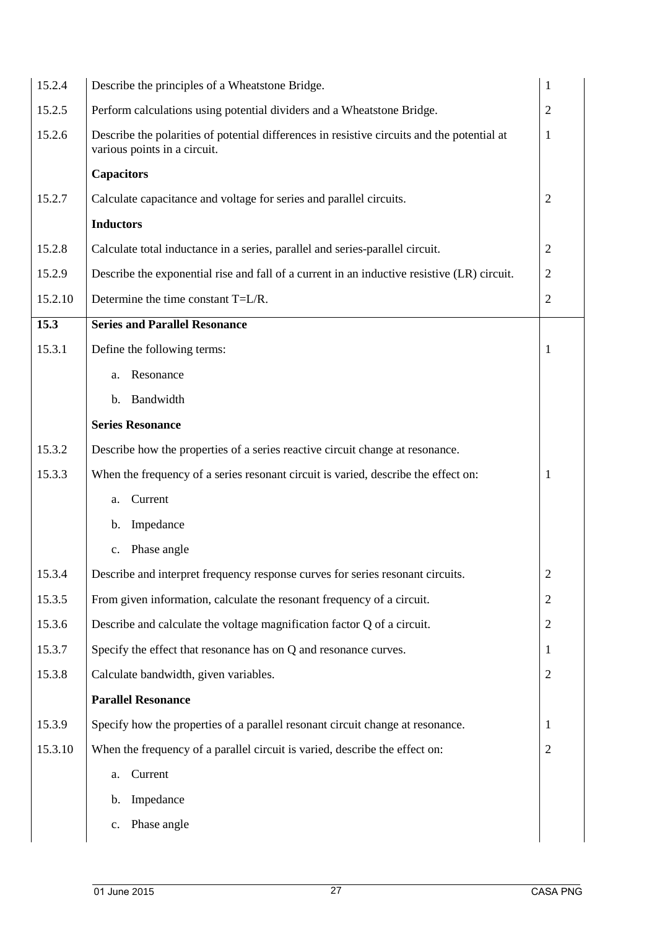| 15.2.4  | Describe the principles of a Wheatstone Bridge.                                                                             | $\mathbf{1}$   |
|---------|-----------------------------------------------------------------------------------------------------------------------------|----------------|
| 15.2.5  | Perform calculations using potential dividers and a Wheatstone Bridge.                                                      | $\overline{2}$ |
| 15.2.6  | Describe the polarities of potential differences in resistive circuits and the potential at<br>various points in a circuit. | $\mathbf{1}$   |
|         | <b>Capacitors</b>                                                                                                           |                |
| 15.2.7  | Calculate capacitance and voltage for series and parallel circuits.                                                         | $\overline{2}$ |
|         | <b>Inductors</b>                                                                                                            |                |
| 15.2.8  | Calculate total inductance in a series, parallel and series-parallel circuit.                                               | $\overline{2}$ |
| 15.2.9  | Describe the exponential rise and fall of a current in an inductive resistive (LR) circuit.                                 | $\overline{2}$ |
| 15.2.10 | Determine the time constant T=L/R.                                                                                          | $\overline{2}$ |
| 15.3    | <b>Series and Parallel Resonance</b>                                                                                        |                |
| 15.3.1  | Define the following terms:                                                                                                 | -1             |
|         | Resonance<br>a.                                                                                                             |                |
|         | Bandwidth<br>b.                                                                                                             |                |
|         | <b>Series Resonance</b>                                                                                                     |                |
| 15.3.2  | Describe how the properties of a series reactive circuit change at resonance.                                               |                |
| 15.3.3  | When the frequency of a series resonant circuit is varied, describe the effect on:                                          | -1             |
|         | Current<br>a.                                                                                                               |                |
|         | Impedance<br>b.                                                                                                             |                |
|         | Phase angle                                                                                                                 |                |
| 15.3.4  | Describe and interpret frequency response curves for series resonant circuits.                                              | $\overline{2}$ |
| 15.3.5  | From given information, calculate the resonant frequency of a circuit.                                                      | $\overline{2}$ |
| 15.3.6  | Describe and calculate the voltage magnification factor Q of a circuit.                                                     | $\mathbf{2}$   |
| 15.3.7  | Specify the effect that resonance has on Q and resonance curves.                                                            | $\mathbf{1}$   |
| 15.3.8  | Calculate bandwidth, given variables.                                                                                       | $\mathbf{2}$   |
|         | <b>Parallel Resonance</b>                                                                                                   |                |
| 15.3.9  | Specify how the properties of a parallel resonant circuit change at resonance.                                              | -1             |
| 15.3.10 | When the frequency of a parallel circuit is varied, describe the effect on:                                                 | $\overline{2}$ |
|         | Current<br>a.                                                                                                               |                |
|         | Impedance<br>b.                                                                                                             |                |
|         | Phase angle<br>$c_{\cdot}$                                                                                                  |                |
|         |                                                                                                                             |                |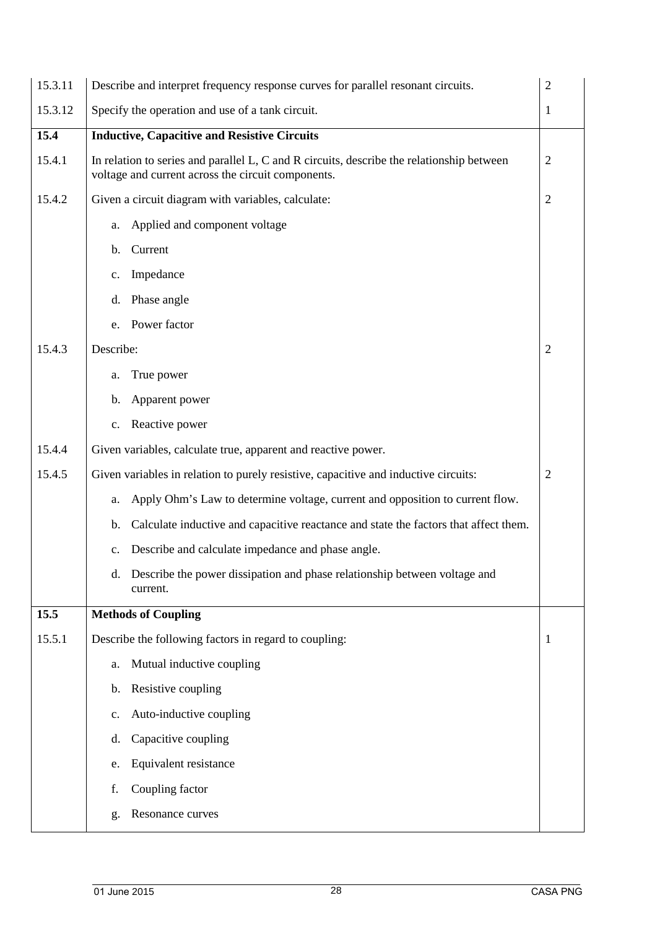| 15.3.11 | $\overline{2}$<br>Describe and interpret frequency response curves for parallel resonant circuits.                                                                |                |  |  |  |
|---------|-------------------------------------------------------------------------------------------------------------------------------------------------------------------|----------------|--|--|--|
| 15.3.12 | Specify the operation and use of a tank circuit.<br>$\mathbf{1}$                                                                                                  |                |  |  |  |
| 15.4    | <b>Inductive, Capacitive and Resistive Circuits</b>                                                                                                               |                |  |  |  |
| 15.4.1  | In relation to series and parallel L, C and R circuits, describe the relationship between<br>$\overline{2}$<br>voltage and current across the circuit components. |                |  |  |  |
| 15.4.2  | Given a circuit diagram with variables, calculate:                                                                                                                | 2              |  |  |  |
|         | Applied and component voltage<br>a.                                                                                                                               |                |  |  |  |
|         | Current<br>$\mathbf{b}$ .                                                                                                                                         |                |  |  |  |
|         | Impedance<br>c.                                                                                                                                                   |                |  |  |  |
|         | Phase angle<br>d.                                                                                                                                                 |                |  |  |  |
|         | Power factor<br>e.                                                                                                                                                |                |  |  |  |
| 15.4.3  | Describe:                                                                                                                                                         | $\overline{2}$ |  |  |  |
|         | True power<br>a.                                                                                                                                                  |                |  |  |  |
|         | Apparent power<br>b.                                                                                                                                              |                |  |  |  |
|         | Reactive power<br>$c_{\cdot}$                                                                                                                                     |                |  |  |  |
| 15.4.4  | Given variables, calculate true, apparent and reactive power.                                                                                                     |                |  |  |  |
| 15.4.5  | Given variables in relation to purely resistive, capacitive and inductive circuits:                                                                               | $\overline{2}$ |  |  |  |
|         | Apply Ohm's Law to determine voltage, current and opposition to current flow.<br>a.                                                                               |                |  |  |  |
|         | Calculate inductive and capacitive reactance and state the factors that affect them.<br>b.                                                                        |                |  |  |  |
|         | Describe and calculate impedance and phase angle.<br>c.                                                                                                           |                |  |  |  |
|         | Describe the power dissipation and phase relationship between voltage and<br>d.<br>current.                                                                       |                |  |  |  |
| 15.5    | <b>Methods of Coupling</b>                                                                                                                                        |                |  |  |  |
| 15.5.1  | Describe the following factors in regard to coupling:                                                                                                             | 1              |  |  |  |
|         | Mutual inductive coupling<br>a.                                                                                                                                   |                |  |  |  |
|         | Resistive coupling<br>$\mathbf{b}$ .                                                                                                                              |                |  |  |  |
|         | Auto-inductive coupling<br>c.                                                                                                                                     |                |  |  |  |
|         | Capacitive coupling<br>d.                                                                                                                                         |                |  |  |  |
|         | Equivalent resistance<br>e.                                                                                                                                       |                |  |  |  |
|         | Coupling factor<br>f.                                                                                                                                             |                |  |  |  |
|         | Resonance curves<br>g.                                                                                                                                            |                |  |  |  |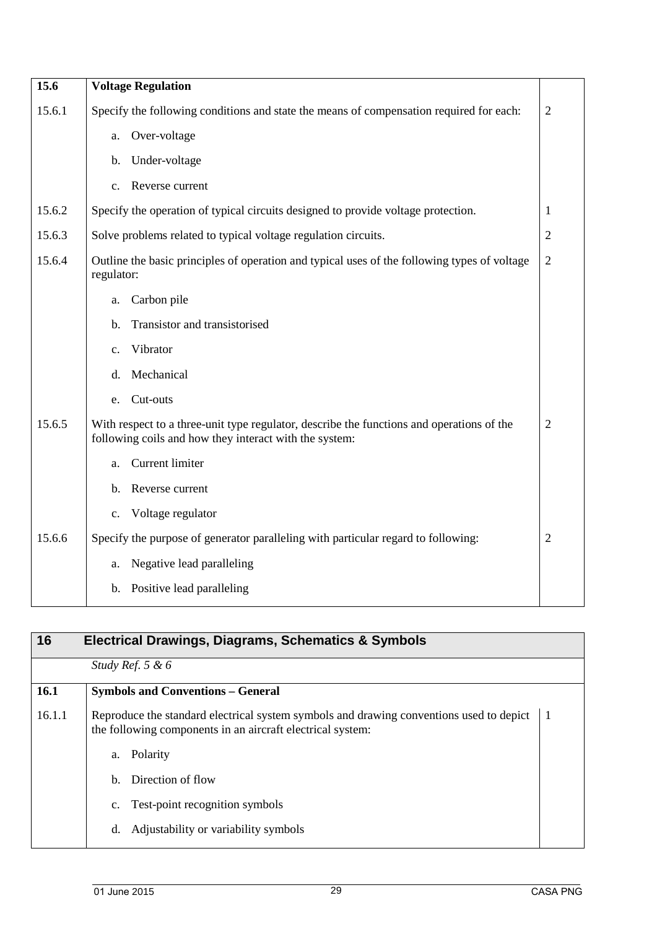| 15.6   | <b>Voltage Regulation</b>                                                                                                                           |                |
|--------|-----------------------------------------------------------------------------------------------------------------------------------------------------|----------------|
| 15.6.1 | Specify the following conditions and state the means of compensation required for each:                                                             | $\overline{2}$ |
|        | Over-voltage<br>a.                                                                                                                                  |                |
|        | Under-voltage<br>b.                                                                                                                                 |                |
|        | Reverse current<br>C <sub>1</sub>                                                                                                                   |                |
| 15.6.2 | Specify the operation of typical circuits designed to provide voltage protection.                                                                   | 1              |
| 15.6.3 | Solve problems related to typical voltage regulation circuits.                                                                                      | $\overline{2}$ |
| 15.6.4 | Outline the basic principles of operation and typical uses of the following types of voltage<br>regulator:                                          | $\overline{2}$ |
|        | Carbon pile<br>a.                                                                                                                                   |                |
|        | Transistor and transistorised<br>b.                                                                                                                 |                |
|        | Vibrator<br>$c_{\cdot}$                                                                                                                             |                |
|        | Mechanical<br>d.                                                                                                                                    |                |
|        | Cut-outs<br>e.                                                                                                                                      |                |
| 15.6.5 | With respect to a three-unit type regulator, describe the functions and operations of the<br>following coils and how they interact with the system: | $\overline{2}$ |
|        | Current limiter<br>a.                                                                                                                               |                |
|        | Reverse current<br>b.                                                                                                                               |                |
|        | Voltage regulator<br>c.                                                                                                                             |                |
| 15.6.6 | Specify the purpose of generator paralleling with particular regard to following:                                                                   | $\overline{2}$ |
|        | Negative lead paralleling<br>a.                                                                                                                     |                |
|        | Positive lead paralleling<br>b.                                                                                                                     |                |
|        |                                                                                                                                                     |                |

| 16     | <b>Electrical Drawings, Diagrams, Schematics &amp; Symbols</b>                                                                                        |   |
|--------|-------------------------------------------------------------------------------------------------------------------------------------------------------|---|
|        | Study Ref. $5 & 6$                                                                                                                                    |   |
| 16.1   | <b>Symbols and Conventions – General</b>                                                                                                              |   |
| 16.1.1 | Reproduce the standard electrical system symbols and drawing conventions used to depict<br>the following components in an aircraft electrical system: | 1 |
|        | Polarity<br>a.                                                                                                                                        |   |
|        | Direction of flow<br>$h_{\cdot}$                                                                                                                      |   |
|        | Test-point recognition symbols<br>$c_{\cdot}$                                                                                                         |   |
|        | Adjustability or variability symbols<br>d.                                                                                                            |   |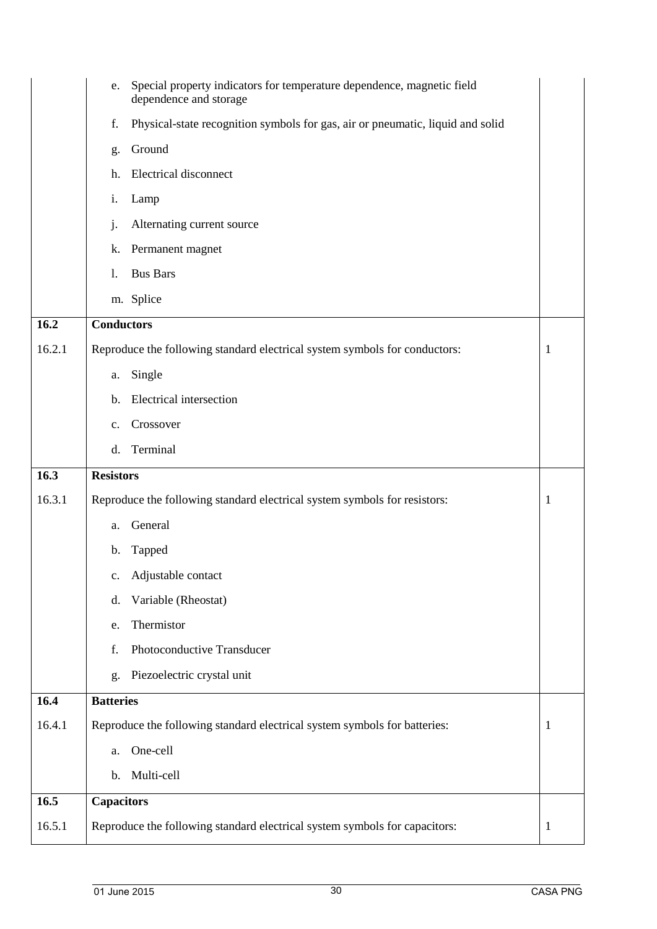|        | e.                                                                             | Special property indicators for temperature dependence, magnetic field<br>dependence and storage |   |  |
|--------|--------------------------------------------------------------------------------|--------------------------------------------------------------------------------------------------|---|--|
|        | f.                                                                             | Physical-state recognition symbols for gas, air or pneumatic, liquid and solid                   |   |  |
|        | g.                                                                             | Ground                                                                                           |   |  |
|        | h.                                                                             | <b>Electrical disconnect</b>                                                                     |   |  |
|        | i.                                                                             | Lamp                                                                                             |   |  |
|        | j.                                                                             | Alternating current source                                                                       |   |  |
|        | k.                                                                             | Permanent magnet                                                                                 |   |  |
|        | $\mathbf{1}$ .                                                                 | <b>Bus Bars</b>                                                                                  |   |  |
|        |                                                                                | m. Splice                                                                                        |   |  |
| 16.2   | <b>Conductors</b>                                                              |                                                                                                  |   |  |
| 16.2.1 |                                                                                | Reproduce the following standard electrical system symbols for conductors:                       | 1 |  |
|        | a.                                                                             | Single                                                                                           |   |  |
|        | b.                                                                             | Electrical intersection                                                                          |   |  |
|        | $\mathbf{c}$ .                                                                 | Crossover                                                                                        |   |  |
|        | d.                                                                             | Terminal                                                                                         |   |  |
| 16.3   | <b>Resistors</b>                                                               |                                                                                                  |   |  |
|        | Reproduce the following standard electrical system symbols for resistors:<br>1 |                                                                                                  |   |  |
| 16.3.1 |                                                                                |                                                                                                  |   |  |
|        | a.                                                                             | General                                                                                          |   |  |
|        | b.                                                                             | Tapped                                                                                           |   |  |
|        | $\mathbf{c}$ .                                                                 | Adjustable contact                                                                               |   |  |
|        | d.                                                                             | Variable (Rheostat)                                                                              |   |  |
|        | e.                                                                             | Thermistor                                                                                       |   |  |
|        | f.                                                                             | Photoconductive Transducer                                                                       |   |  |
|        | g.                                                                             | Piezoelectric crystal unit                                                                       |   |  |
| 16.4   | <b>Batteries</b>                                                               |                                                                                                  |   |  |
| 16.4.1 |                                                                                | Reproduce the following standard electrical system symbols for batteries:                        | 1 |  |
|        | a.                                                                             | One-cell                                                                                         |   |  |
|        | b.                                                                             | Multi-cell                                                                                       |   |  |
| 16.5   | <b>Capacitors</b>                                                              |                                                                                                  |   |  |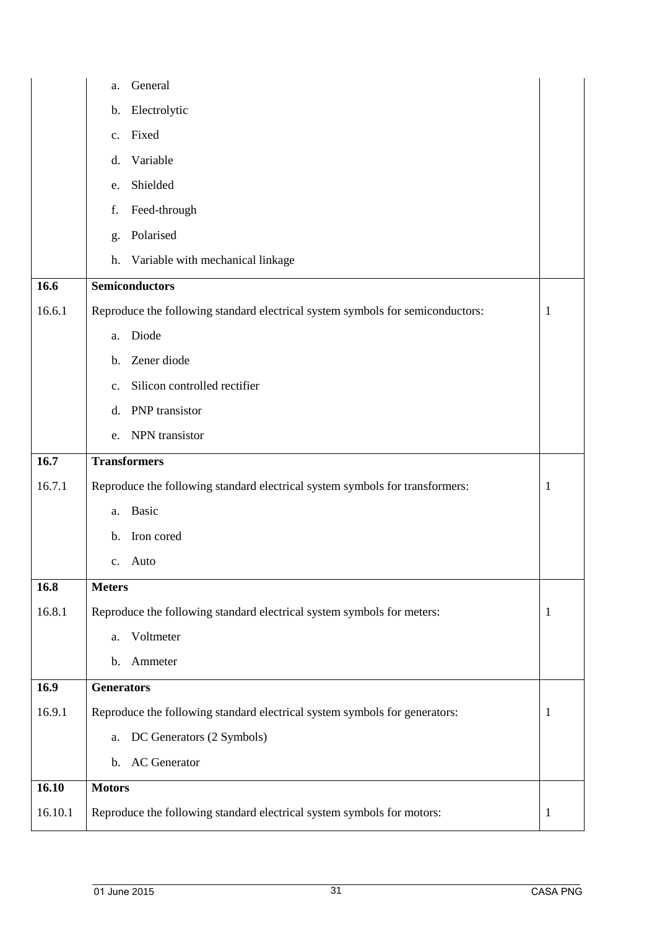|         | General<br>a.                                                                                  |              |  |  |  |
|---------|------------------------------------------------------------------------------------------------|--------------|--|--|--|
|         | Electrolytic<br>b.                                                                             |              |  |  |  |
|         | Fixed<br>c.                                                                                    |              |  |  |  |
|         | Variable<br>d.                                                                                 |              |  |  |  |
|         | Shielded<br>e.                                                                                 |              |  |  |  |
|         | Feed-through<br>f.                                                                             |              |  |  |  |
|         | Polarised<br>g.                                                                                |              |  |  |  |
|         | Variable with mechanical linkage<br>h.                                                         |              |  |  |  |
| 16.6    | <b>Semiconductors</b>                                                                          |              |  |  |  |
| 16.6.1  | Reproduce the following standard electrical system symbols for semiconductors:<br>$\mathbf{1}$ |              |  |  |  |
|         | Diode<br>a.                                                                                    |              |  |  |  |
|         | Zener diode<br>$\mathbf{b}$ .                                                                  |              |  |  |  |
|         | Silicon controlled rectifier<br>$c_{\cdot}$                                                    |              |  |  |  |
|         | PNP transistor<br>d.                                                                           |              |  |  |  |
|         | NPN transistor<br>e.                                                                           |              |  |  |  |
| 16.7    | <b>Transformers</b>                                                                            |              |  |  |  |
|         |                                                                                                |              |  |  |  |
| 16.7.1  | Reproduce the following standard electrical system symbols for transformers:                   | $\mathbf{1}$ |  |  |  |
|         | Basic<br>a.                                                                                    |              |  |  |  |
|         | Iron cored<br>b.                                                                               |              |  |  |  |
|         | c. Auto                                                                                        |              |  |  |  |
| 16.8    | <b>Meters</b>                                                                                  |              |  |  |  |
| 16.8.1  | Reproduce the following standard electrical system symbols for meters:                         | $\mathbf{1}$ |  |  |  |
|         | Voltmeter<br>a.                                                                                |              |  |  |  |
|         | Ammeter<br>$\mathbf b$ .                                                                       |              |  |  |  |
| 16.9    | <b>Generators</b>                                                                              |              |  |  |  |
| 16.9.1  | Reproduce the following standard electrical system symbols for generators:                     | 1            |  |  |  |
|         | DC Generators (2 Symbols)<br>a.                                                                |              |  |  |  |
|         | <b>AC</b> Generator<br>$\mathbf b$ .                                                           |              |  |  |  |
| 16.10   | <b>Motors</b>                                                                                  |              |  |  |  |
| 16.10.1 | Reproduce the following standard electrical system symbols for motors:                         | $\mathbf{1}$ |  |  |  |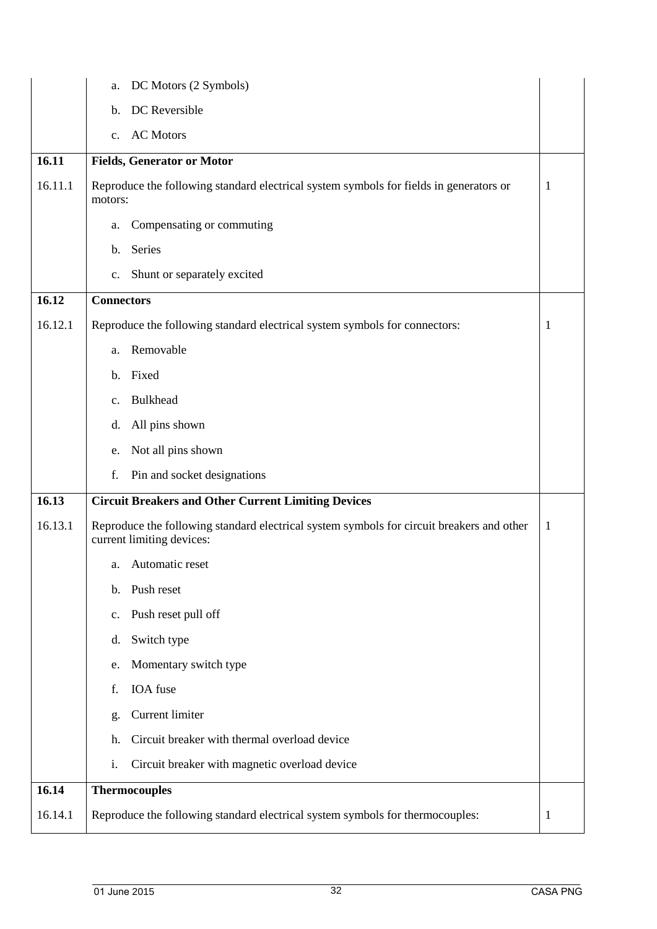|         | DC Motors (2 Symbols)<br>a.                                                                                            |              |  |  |  |
|---------|------------------------------------------------------------------------------------------------------------------------|--------------|--|--|--|
|         | DC Reversible<br>b.                                                                                                    |              |  |  |  |
|         | <b>AC Motors</b><br>$C_{\bullet}$                                                                                      |              |  |  |  |
| 16.11   | <b>Fields, Generator or Motor</b>                                                                                      |              |  |  |  |
| 16.11.1 | Reproduce the following standard electrical system symbols for fields in generators or<br>1<br>motors:                 |              |  |  |  |
|         | Compensating or commuting<br>a.                                                                                        |              |  |  |  |
|         | Series<br>b.                                                                                                           |              |  |  |  |
|         | Shunt or separately excited<br>c.                                                                                      |              |  |  |  |
| 16.12   | <b>Connectors</b>                                                                                                      |              |  |  |  |
| 16.12.1 | Reproduce the following standard electrical system symbols for connectors:                                             | $\mathbf{1}$ |  |  |  |
|         | Removable<br>a.                                                                                                        |              |  |  |  |
|         | Fixed<br>b.                                                                                                            |              |  |  |  |
|         | Bulkhead<br>$\mathbf{c}$ .                                                                                             |              |  |  |  |
|         | All pins shown<br>d.                                                                                                   |              |  |  |  |
|         | Not all pins shown<br>e.                                                                                               |              |  |  |  |
|         | f.<br>Pin and socket designations                                                                                      |              |  |  |  |
| 16.13   | <b>Circuit Breakers and Other Current Limiting Devices</b>                                                             |              |  |  |  |
| 16.13.1 | Reproduce the following standard electrical system symbols for circuit breakers and other<br>current limiting devices: | $\mathbf{1}$ |  |  |  |
|         | Automatic reset<br>a.                                                                                                  |              |  |  |  |
|         | Push reset<br>b.                                                                                                       |              |  |  |  |
|         | Push reset pull off<br>$\mathbf{c}$ .                                                                                  |              |  |  |  |
|         | Switch type<br>d.                                                                                                      |              |  |  |  |
|         | Momentary switch type<br>e.                                                                                            |              |  |  |  |
|         | IOA fuse<br>f.                                                                                                         |              |  |  |  |
|         | Current limiter<br>g.                                                                                                  |              |  |  |  |
|         | Circuit breaker with thermal overload device<br>h.                                                                     |              |  |  |  |
|         | i.<br>Circuit breaker with magnetic overload device                                                                    |              |  |  |  |
| 16.14   | <b>Thermocouples</b>                                                                                                   |              |  |  |  |
| 16.14.1 | Reproduce the following standard electrical system symbols for thermocouples:                                          | $\mathbf{1}$ |  |  |  |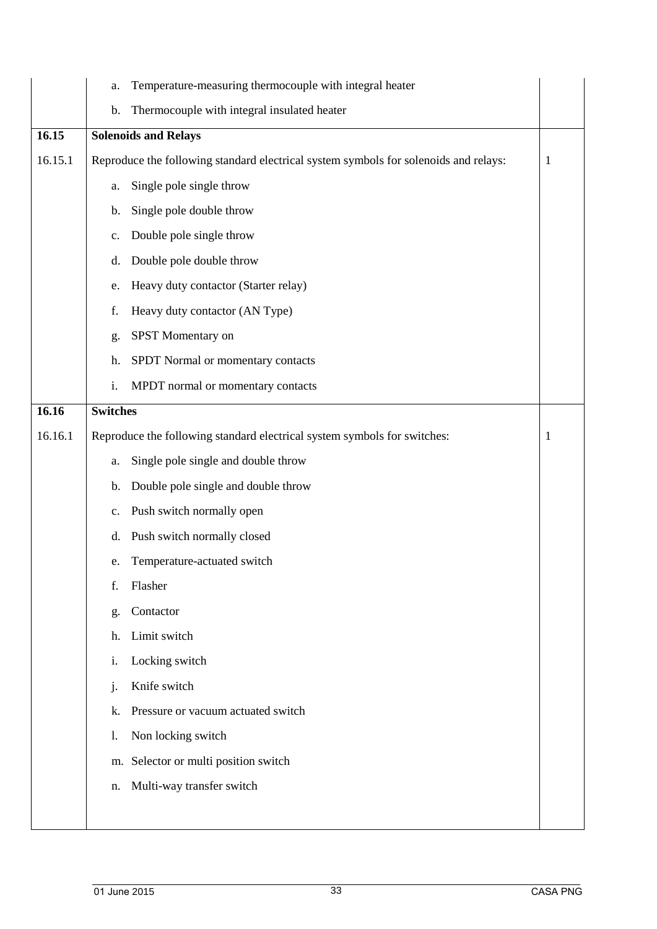|         | a.                          | Temperature-measuring thermocouple with integral heater                              |              |
|---------|-----------------------------|--------------------------------------------------------------------------------------|--------------|
|         | b.                          | Thermocouple with integral insulated heater                                          |              |
| 16.15   | <b>Solenoids and Relays</b> |                                                                                      |              |
| 16.15.1 |                             | Reproduce the following standard electrical system symbols for solenoids and relays: | $\mathbf{1}$ |
|         | a.                          | Single pole single throw                                                             |              |
|         | b.                          | Single pole double throw                                                             |              |
|         | c.                          | Double pole single throw                                                             |              |
|         | d.                          | Double pole double throw                                                             |              |
|         | e.                          | Heavy duty contactor (Starter relay)                                                 |              |
|         | f.                          | Heavy duty contactor (AN Type)                                                       |              |
|         | g.                          | SPST Momentary on                                                                    |              |
|         | h.                          | SPDT Normal or momentary contacts                                                    |              |
|         | i.                          | MPDT normal or momentary contacts                                                    |              |
| 16.16   | <b>Switches</b>             |                                                                                      |              |
| 16.16.1 |                             | Reproduce the following standard electrical system symbols for switches:             | $\mathbf{1}$ |
|         | a.                          | Single pole single and double throw                                                  |              |
|         | b.                          | Double pole single and double throw                                                  |              |
|         | c.                          | Push switch normally open                                                            |              |
|         | d.                          | Push switch normally closed                                                          |              |
|         | e.                          | Temperature-actuated switch                                                          |              |
|         | f.                          | Flasher                                                                              |              |
|         | g.                          | Contactor                                                                            |              |
|         | h.                          | Limit switch                                                                         |              |
|         | i.                          | Locking switch                                                                       |              |
|         | j.                          | Knife switch                                                                         |              |
|         | k.                          | Pressure or vacuum actuated switch                                                   |              |
|         | 1.                          | Non locking switch                                                                   |              |
|         |                             | m. Selector or multi position switch                                                 |              |
|         | n.                          | Multi-way transfer switch                                                            |              |
|         |                             |                                                                                      |              |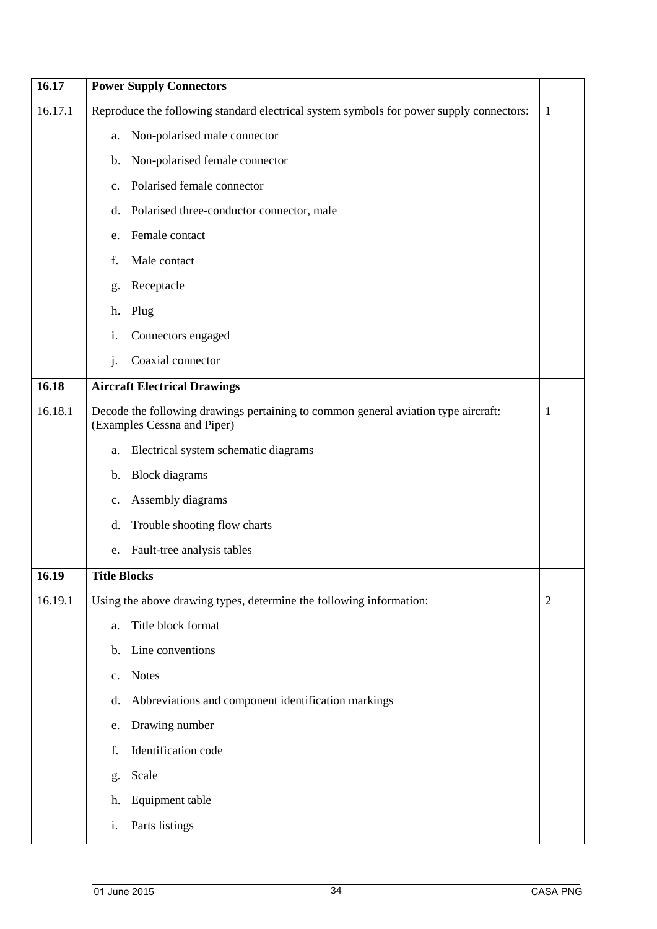| 16.17   |                | <b>Power Supply Connectors</b>                                                                                    |                |
|---------|----------------|-------------------------------------------------------------------------------------------------------------------|----------------|
| 16.17.1 |                | Reproduce the following standard electrical system symbols for power supply connectors:                           | $\mathbf{1}$   |
|         | a.             | Non-polarised male connector                                                                                      |                |
|         | b.             | Non-polarised female connector                                                                                    |                |
|         | $\mathbf{c}$ . | Polarised female connector                                                                                        |                |
|         | d.             | Polarised three-conductor connector, male                                                                         |                |
|         | e.             | Female contact                                                                                                    |                |
|         | f.             | Male contact                                                                                                      |                |
|         | g.             | Receptacle                                                                                                        |                |
|         | h.             | Plug                                                                                                              |                |
|         | i.             | Connectors engaged                                                                                                |                |
|         | j.             | Coaxial connector                                                                                                 |                |
| 16.18   |                | <b>Aircraft Electrical Drawings</b>                                                                               |                |
| 16.18.1 |                | Decode the following drawings pertaining to common general aviation type aircraft:<br>(Examples Cessna and Piper) | $\mathbf{1}$   |
|         | a.             | Electrical system schematic diagrams                                                                              |                |
|         | b.             | <b>Block</b> diagrams                                                                                             |                |
|         | $\mathbf{c}$ . | Assembly diagrams                                                                                                 |                |
|         | d.             | Trouble shooting flow charts                                                                                      |                |
|         | e.             | Fault-tree analysis tables                                                                                        |                |
| 16.19   | Title Blocks   |                                                                                                                   |                |
| 16.19.1 |                | Using the above drawing types, determine the following information:                                               | $\overline{2}$ |
|         | a.             | Title block format                                                                                                |                |
|         | $\mathbf b$ .  | Line conventions                                                                                                  |                |
|         | $c_{\cdot}$    | <b>Notes</b>                                                                                                      |                |
|         | d.             | Abbreviations and component identification markings                                                               |                |
|         | e.             | Drawing number                                                                                                    |                |
|         | f.             | Identification code                                                                                               |                |
|         | g.             | Scale                                                                                                             |                |
|         | h.             | Equipment table                                                                                                   |                |
|         | i.             | Parts listings                                                                                                    |                |